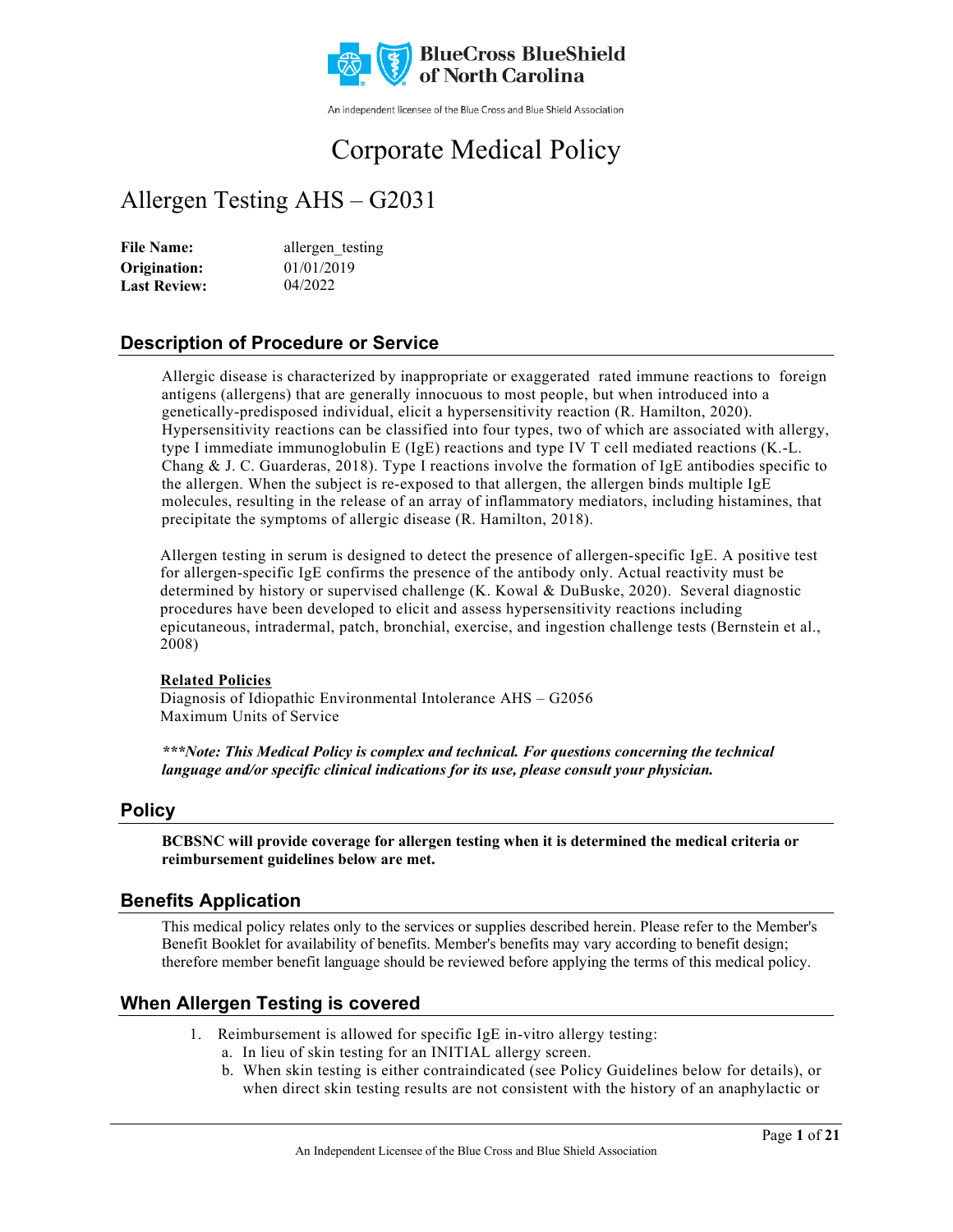

An independent licensee of the Blue Cross and Blue Shield Association

# Corporate Medical Policy

# Allergen Testing AHS – G2031

File Name: allergen\_testing 01/01/2019 04/2022 **Origination: Last Review:**

# **Description of Procedure or Service**

Allergic disease is characterized by inappropriate or exaggerated rated immune reactions to foreign antigens (allergens) that are generally innocuous to most people, but when introduced into a genetically-predisposed individual, elicit a hypersensitivity reaction (R. Hamilton, 2020). Hypersensitivity reactions can be classified into four types, two of which are associated with allergy, type I immediate immunoglobulin E (IgE) reactions and type IV T cell mediated reactions (K.-L. Chang & J. C. Guarderas, 2018). Type I reactions involve the formation of IgE antibodies specific to the allergen. When the subject is re-exposed to that allergen, the allergen binds multiple IgE molecules, resulting in the release of an array of inflammatory mediators, including histamines, that precipitate the symptoms of allergic disease (R. Hamilton, 2018).

Allergen testing in serum is designed to detect the presence of allergen-specific IgE. A positive test for allergen-specific IgE confirms the presence of the antibody only. Actual reactivity must be determined by history or supervised challenge (K. Kowal & DuBuske, 2020). Several diagnostic procedures have been developed to elicit and assess hypersensitivity reactions including epicutaneous, intradermal, patch, bronchial, exercise, and ingestion challenge tests (Bernstein et al., 2008)

#### **Related Policies**

Diagnosis of Idiopathic Environmental Intolerance AHS – G2056 Maximum Units of Service

*\*\*\*Note: This Medical Policy is complex and technical. For questions concerning the technical language and/or specific clinical indications for its use, please consult your physician.*

# **Policy**

**BCBSNC will provide coverage for allergen testing when it is determined the medical criteria or reimbursement guidelines below are met.**

## **Benefits Application**

This medical policy relates only to the services or supplies described herein. Please refer to the Member's Benefit Booklet for availability of benefits. Member's benefits may vary according to benefit design; therefore member benefit language should be reviewed before applying the terms of this medical policy.

# **When Allergen Testing is covered**

- 1. Reimbursement is allowed for specific IgE in-vitro allergy testing:
	- a. In lieu of skin testing for an INITIAL allergy screen.
	- b. When skin testing is either contraindicated (see Policy Guidelines below for details), or when direct skin testing results are not consistent with the history of an anaphylactic or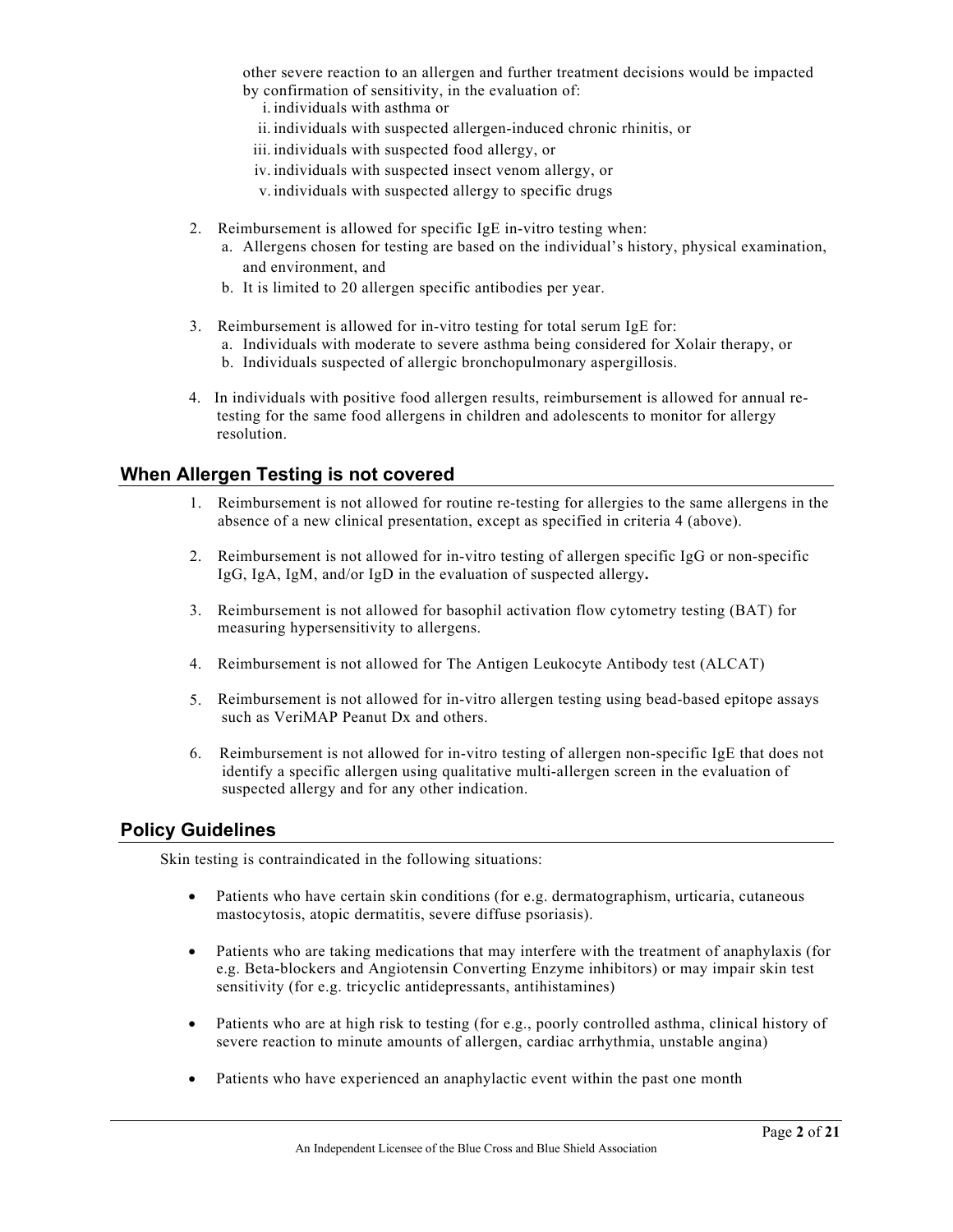other severe reaction to an allergen and further treatment decisions would be impacted by confirmation of sensitivity, in the evaluation of:

- i. individuals with asthma or
- ii. individuals with suspected allergen-induced chronic rhinitis, or
- iii. individuals with suspected food allergy, or
- iv. individuals with suspected insect venom allergy, or
- v. individuals with suspected allergy to specific drugs
- 2. Reimbursement is allowed for specific IgE in-vitro testing when:
	- a. Allergens chosen for testing are based on the individual's history, physical examination, and environment, and
	- b. It is limited to 20 allergen specific antibodies per year.
- 3. Reimbursement is allowed for in-vitro testing for total serum IgE for:
	- a. Individuals with moderate to severe asthma being considered for Xolair therapy, or
	- b. Individuals suspected of allergic bronchopulmonary aspergillosis.
- 4. In individuals with positive food allergen results, reimbursement is allowed for annual retesting for the same food allergens in children and adolescents to monitor for allergy resolution.

## **When Allergen Testing is not covered**

- 1. Reimbursement is not allowed for routine re-testing for allergies to the same allergens in the absence of a new clinical presentation, except as specified in criteria 4 (above).
- 2. Reimbursement is not allowed for in-vitro testing of allergen specific IgG or non-specific IgG, IgA, IgM, and/or IgD in the evaluation of suspected allergy**.**
- 3. Reimbursement is not allowed for basophil activation flow cytometry testing (BAT) for measuring hypersensitivity to allergens.
- 4. Reimbursement is not allowed for The Antigen Leukocyte Antibody test (ALCAT)
- 5. Reimbursement is not allowed for in-vitro allergen testing using bead-based epitope assays such as VeriMAP Peanut Dx and others.
- 6. Reimbursement is not allowed for in-vitro testing of allergen non-specific IgE that does not identify a specific allergen using qualitative multi-allergen screen in the evaluation of suspected allergy and for any other indication.

## **Policy Guidelines**

Skin testing is contraindicated in the following situations:

- Patients who have certain skin conditions (for e.g. dermatographism, urticaria, cutaneous mastocytosis, atopic dermatitis, severe diffuse psoriasis).
- Patients who are taking medications that may interfere with the treatment of anaphylaxis (for e.g. Beta-blockers and Angiotensin Converting Enzyme inhibitors) or may impair skin test sensitivity (for e.g. tricyclic antidepressants, antihistamines)
- Patients who are at high risk to testing (for e.g., poorly controlled asthma, clinical history of severe reaction to minute amounts of allergen, cardiac arrhythmia, unstable angina)
- Patients who have experienced an anaphylactic event within the past one month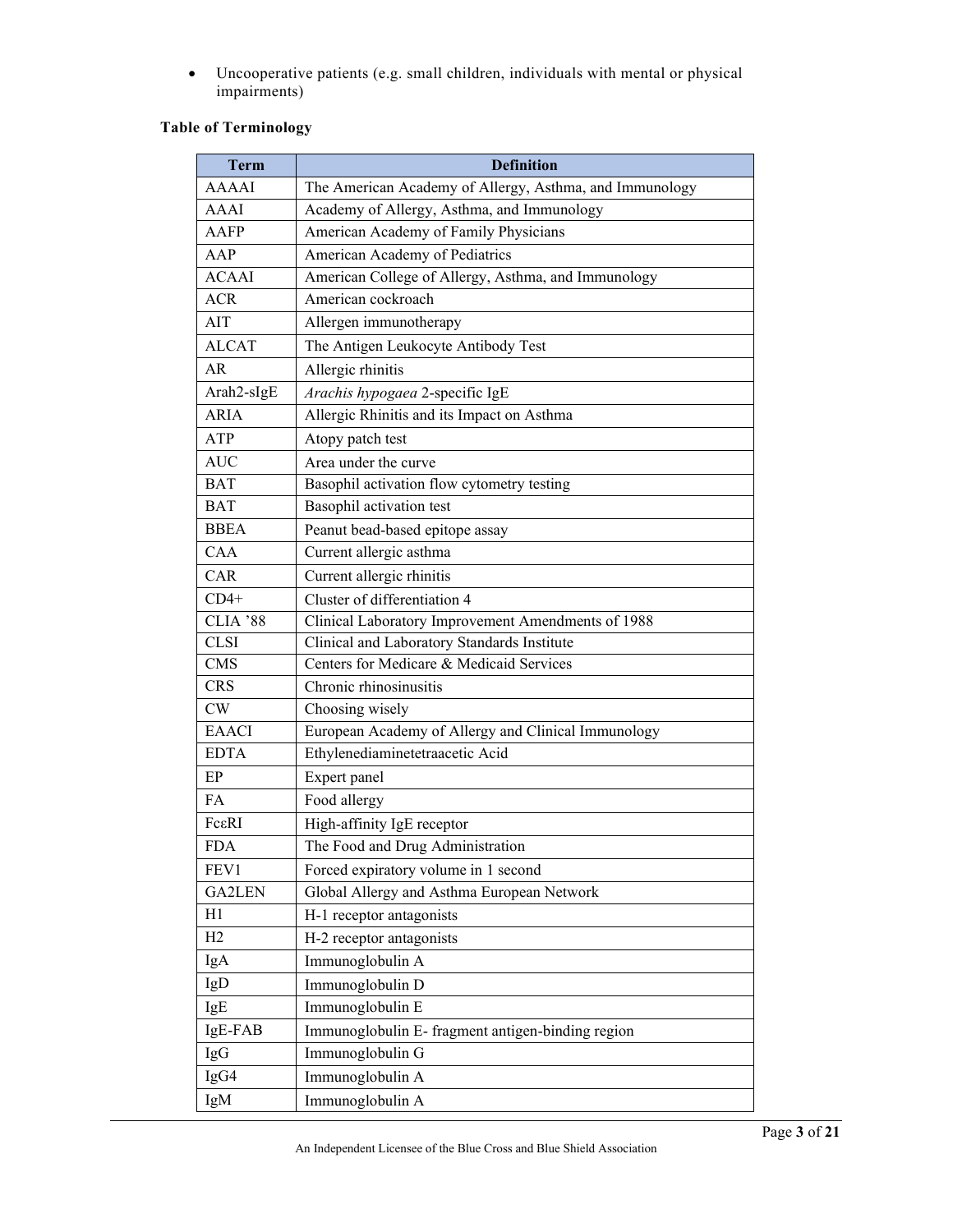• Uncooperative patients (e.g. small children, individuals with mental or physical impairments)

# **Table of Terminology**

| <b>Term</b>   | <b>Definition</b>                                       |
|---------------|---------------------------------------------------------|
| <b>AAAAI</b>  | The American Academy of Allergy, Asthma, and Immunology |
| AAAI          | Academy of Allergy, Asthma, and Immunology              |
| AAFP          | American Academy of Family Physicians                   |
| AAP           | American Academy of Pediatrics                          |
| <b>ACAAI</b>  | American College of Allergy, Asthma, and Immunology     |
| <b>ACR</b>    | American cockroach                                      |
| AIT           | Allergen immunotherapy                                  |
| <b>ALCAT</b>  | The Antigen Leukocyte Antibody Test                     |
| AR            | Allergic rhinitis                                       |
| Arah2-sIgE    | Arachis hypogaea 2-specific IgE                         |
| <b>ARIA</b>   | Allergic Rhinitis and its Impact on Asthma              |
| ATP           | Atopy patch test                                        |
| <b>AUC</b>    | Area under the curve                                    |
| <b>BAT</b>    | Basophil activation flow cytometry testing              |
| <b>BAT</b>    | Basophil activation test                                |
| <b>BBEA</b>   | Peanut bead-based epitope assay                         |
| CAA           | Current allergic asthma                                 |
| CAR           | Current allergic rhinitis                               |
| $CD4+$        | Cluster of differentiation 4                            |
| CLIA '88      | Clinical Laboratory Improvement Amendments of 1988      |
| <b>CLSI</b>   | Clinical and Laboratory Standards Institute             |
| <b>CMS</b>    | Centers for Medicare & Medicaid Services                |
| <b>CRS</b>    | Chronic rhinosinusitis                                  |
| <b>CW</b>     | Choosing wisely                                         |
| <b>EAACI</b>  | European Academy of Allergy and Clinical Immunology     |
| <b>EDTA</b>   | Ethylenediaminetetraacetic Acid                         |
| EP            | Expert panel                                            |
| FA            | Food allergy                                            |
| Fc&RI         | High-affinity IgE receptor                              |
| <b>FDA</b>    | The Food and Drug Administration                        |
| FEV1          | Forced expiratory volume in 1 second                    |
| <b>GA2LEN</b> | Global Allergy and Asthma European Network              |
| H1            | H-1 receptor antagonists                                |
| H2            | H-2 receptor antagonists                                |
| IgA           | Immunoglobulin A                                        |
| IgD           | Immunoglobulin D                                        |
| IgE           | Immunoglobulin E                                        |
| IgE-FAB       | Immunoglobulin E- fragment antigen-binding region       |
| IgG           | Immunoglobulin G                                        |
| IgG4          | Immunoglobulin A                                        |
| IgM           | Immunoglobulin A                                        |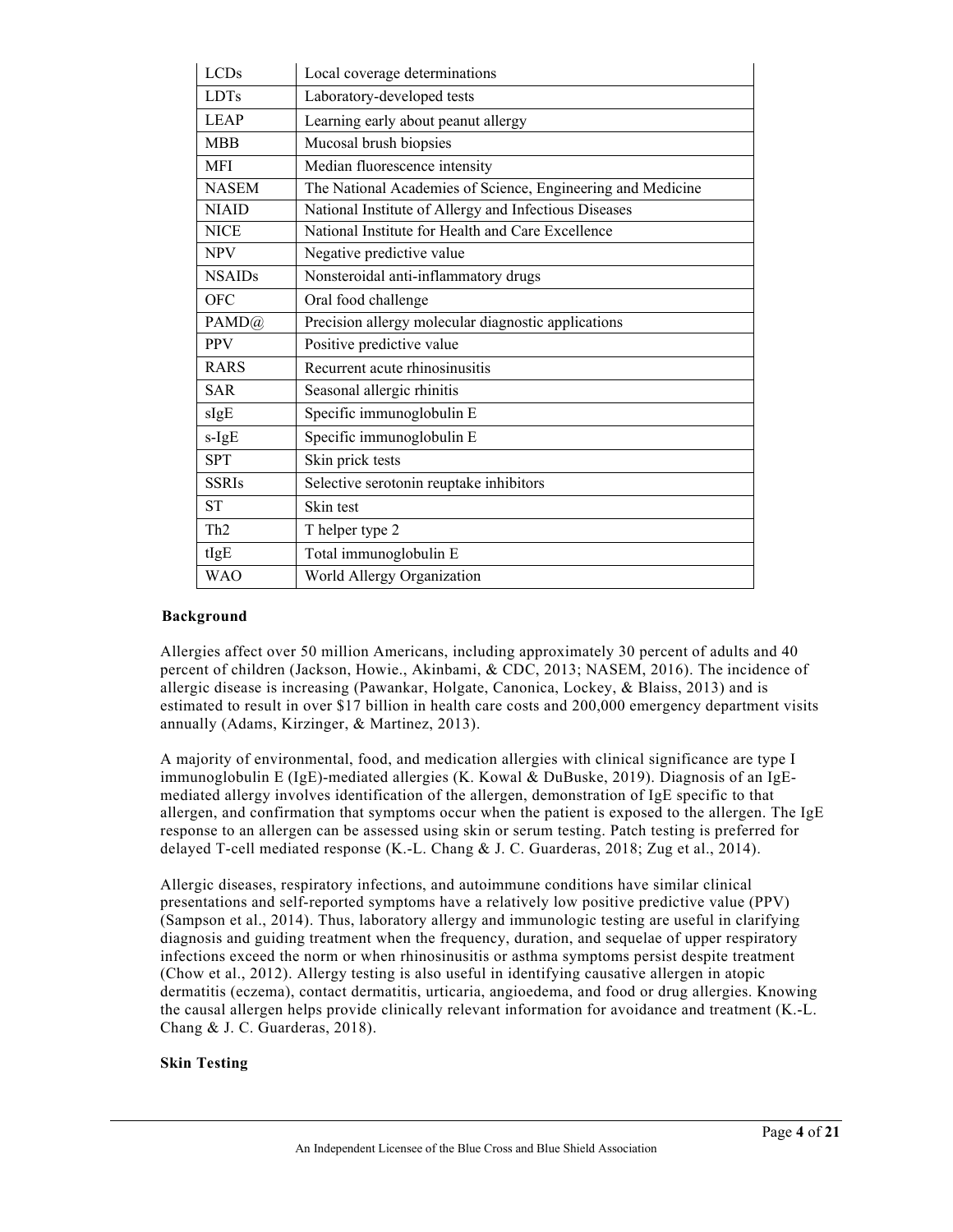| <b>LCDs</b>     | Local coverage determinations                               |
|-----------------|-------------------------------------------------------------|
| <b>LDTs</b>     | Laboratory-developed tests                                  |
| <b>LEAP</b>     | Learning early about peanut allergy                         |
| <b>MBB</b>      | Mucosal brush biopsies                                      |
| <b>MFI</b>      | Median fluorescence intensity                               |
| <b>NASEM</b>    | The National Academies of Science, Engineering and Medicine |
| <b>NIAID</b>    | National Institute of Allergy and Infectious Diseases       |
| <b>NICE</b>     | National Institute for Health and Care Excellence           |
| <b>NPV</b>      | Negative predictive value                                   |
| <b>NSAIDs</b>   | Nonsteroidal anti-inflammatory drugs                        |
| <b>OFC</b>      | Oral food challenge                                         |
| PAMD@           | Precision allergy molecular diagnostic applications         |
| <b>PPV</b>      | Positive predictive value                                   |
| <b>RARS</b>     | Recurrent acute rhinosinusitis                              |
| <b>SAR</b>      | Seasonal allergic rhinitis                                  |
| sIgE            | Specific immunoglobulin E                                   |
| s-IgE           | Specific immunoglobulin E                                   |
| <b>SPT</b>      | Skin prick tests                                            |
| <b>SSRIs</b>    | Selective serotonin reuptake inhibitors                     |
| <b>ST</b>       | Skin test                                                   |
| Th <sub>2</sub> | T helper type 2                                             |
| tIgE            | Total immunoglobulin E                                      |
| <b>WAO</b>      | World Allergy Organization                                  |

#### **Background**

Allergies affect over 50 million Americans, including approximately 30 percent of adults and 40 percent of children (Jackson, Howie., Akinbami, & CDC, 2013; NASEM, 2016). The incidence of allergic disease is increasing (Pawankar, Holgate, Canonica, Lockey, & Blaiss, 2013) and is estimated to result in over \$17 billion in health care costs and 200,000 emergency department visits annually (Adams, Kirzinger, & Martinez, 2013).

A majority of environmental, food, and medication allergies with clinical significance are type I immunoglobulin E (IgE)-mediated allergies (K. Kowal & DuBuske, 2019). Diagnosis of an IgEmediated allergy involves identification of the allergen, demonstration of IgE specific to that allergen, and confirmation that symptoms occur when the patient is exposed to the allergen. The IgE response to an allergen can be assessed using skin or serum testing. Patch testing is preferred for delayed T-cell mediated response (K.-L. Chang & J. C. Guarderas, 2018; Zug et al., 2014).

Allergic diseases, respiratory infections, and autoimmune conditions have similar clinical presentations and self-reported symptoms have a relatively low positive predictive value (PPV) (Sampson et al., 2014). Thus, laboratory allergy and immunologic testing are useful in clarifying diagnosis and guiding treatment when the frequency, duration, and sequelae of upper respiratory infections exceed the norm or when rhinosinusitis or asthma symptoms persist despite treatment (Chow et al., 2012). Allergy testing is also useful in identifying causative allergen in atopic dermatitis (eczema), contact dermatitis, urticaria, angioedema, and food or drug allergies. Knowing the causal allergen helps provide clinically relevant information for avoidance and treatment (K.-L. Chang & J. C. Guarderas, 2018).

#### **Skin Testing**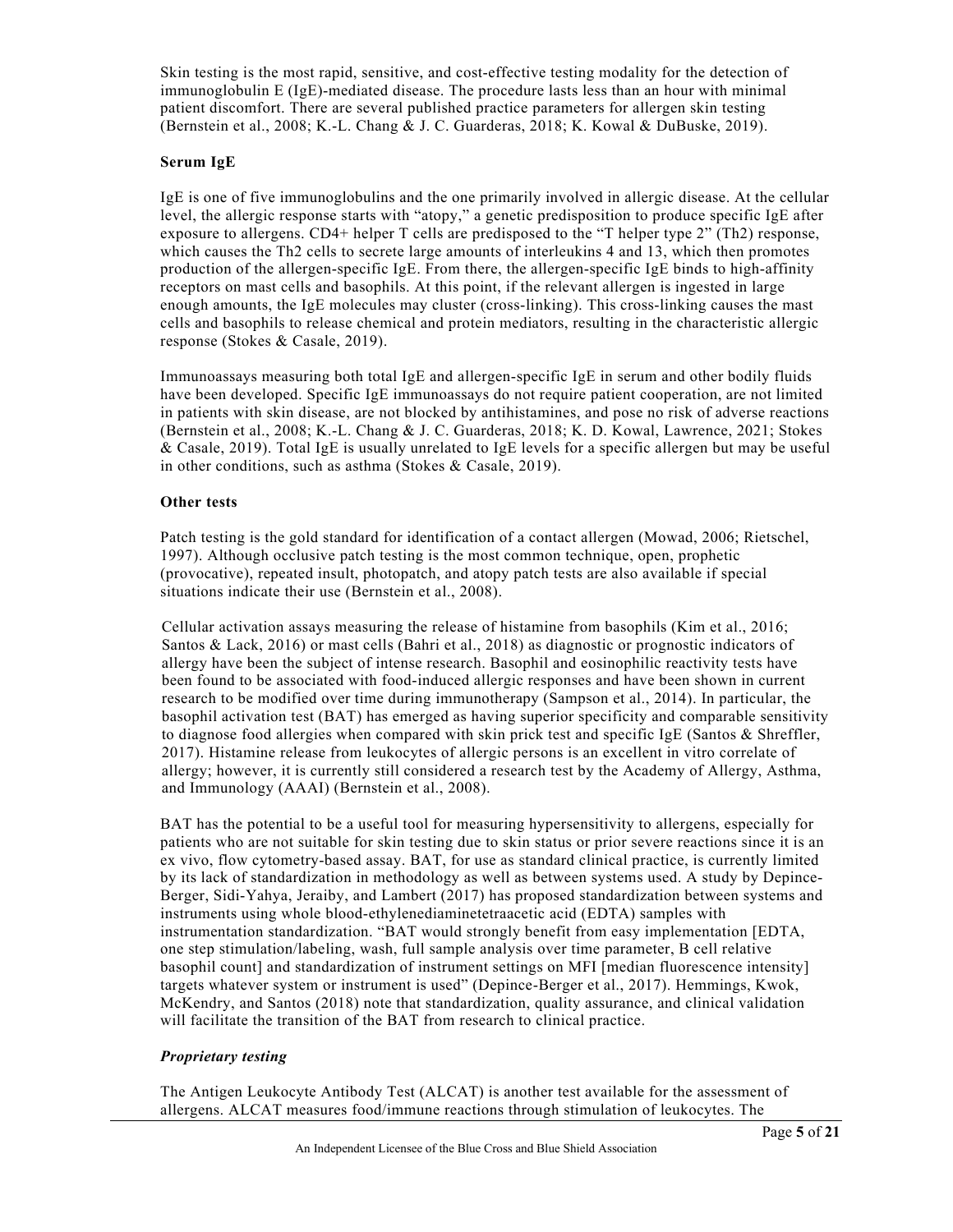Skin testing is the most rapid, sensitive, and cost-effective testing modality for the detection of immunoglobulin E (IgE)-mediated disease. The procedure lasts less than an hour with minimal patient discomfort. There are several published practice parameters for allergen skin testing (Bernstein et al., 2008; K.-L. Chang & J. C. Guarderas, 2018; K. Kowal & DuBuske, 2019).

#### **Serum IgE**

IgE is one of five immunoglobulins and the one primarily involved in allergic disease. At the cellular level, the allergic response starts with "atopy," a genetic predisposition to produce specific IgE after exposure to allergens. CD4+ helper T cells are predisposed to the "T helper type 2" (Th2) response, which causes the Th2 cells to secrete large amounts of interleukins 4 and 13, which then promotes production of the allergen-specific IgE. From there, the allergen-specific IgE binds to high-affinity receptors on mast cells and basophils. At this point, if the relevant allergen is ingested in large enough amounts, the IgE molecules may cluster (cross-linking). This cross-linking causes the mast cells and basophils to release chemical and protein mediators, resulting in the characteristic allergic response (Stokes & Casale, 2019).

Immunoassays measuring both total IgE and allergen-specific IgE in serum and other bodily fluids have been developed. Specific IgE immunoassays do not require patient cooperation, are not limited in patients with skin disease, are not blocked by antihistamines, and pose no risk of adverse reactions (Bernstein et al., 2008; K.-L. Chang & J. C. Guarderas, 2018; K. D. Kowal, Lawrence, 2021; Stokes & Casale, 2019). Total IgE is usually unrelated to IgE levels for a specific allergen but may be useful in other conditions, such as asthma (Stokes & Casale, 2019).

#### **Other tests**

Patch testing is the gold standard for identification of a contact allergen (Mowad, 2006; Rietschel, 1997). Although occlusive patch testing is the most common technique, open, prophetic (provocative), repeated insult, photopatch, and atopy patch tests are also available if special situations indicate their use (Bernstein et al., 2008).

Cellular activation assays measuring the release of histamine from basophils (Kim et al., 2016; Santos & Lack, 2016) or mast cells (Bahri et al., 2018) as diagnostic or prognostic indicators of allergy have been the subject of intense research. Basophil and eosinophilic reactivity tests have been found to be associated with food-induced allergic responses and have been shown in current research to be modified over time during immunotherapy (Sampson et al., 2014). In particular, the basophil activation test (BAT) has emerged as having superior specificity and comparable sensitivity to diagnose food allergies when compared with skin prick test and specific IgE (Santos & Shreffler, 2017). Histamine release from leukocytes of allergic persons is an excellent in vitro correlate of allergy; however, it is currently still considered a research test by the Academy of Allergy, Asthma, and Immunology (AAAI) (Bernstein et al., 2008).

BAT has the potential to be a useful tool for measuring hypersensitivity to allergens, especially for patients who are not suitable for skin testing due to skin status or prior severe reactions since it is an ex vivo, flow cytometry-based assay. BAT, for use as standard clinical practice, is currently limited by its lack of standardization in methodology as well as between systems used. A study by Depince-Berger, Sidi-Yahya, Jeraiby, and Lambert (2017) has proposed standardization between systems and instruments using whole blood-ethylenediaminetetraacetic acid (EDTA) samples with instrumentation standardization. "BAT would strongly benefit from easy implementation [EDTA, one step stimulation/labeling, wash, full sample analysis over time parameter, B cell relative basophil count] and standardization of instrument settings on MFI [median fluorescence intensity] targets whatever system or instrument is used" (Depince-Berger et al., 2017). Hemmings, Kwok, McKendry, and Santos (2018) note that standardization, quality assurance, and clinical validation will facilitate the transition of the BAT from research to clinical practice.

## *Proprietary testing*

The Antigen Leukocyte Antibody Test (ALCAT) is another test available for the assessment of allergens. ALCAT measures food/immune reactions through stimulation of leukocytes. The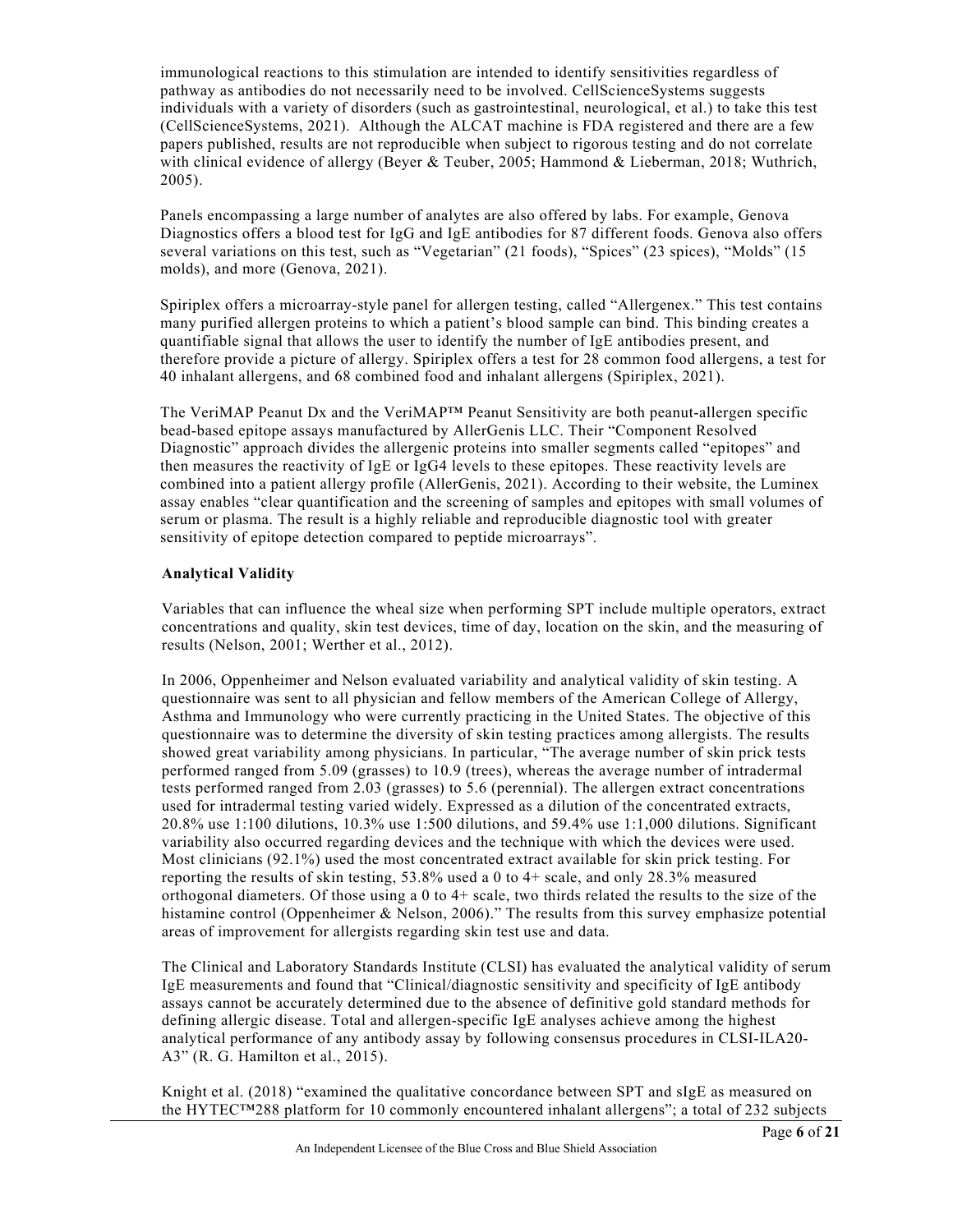immunological reactions to this stimulation are intended to identify sensitivities regardless of pathway as antibodies do not necessarily need to be involved. CellScienceSystems suggests individuals with a variety of disorders (such as gastrointestinal, neurological, et al.) to take this test (CellScienceSystems, 2021). Although the ALCAT machine is FDA registered and there are a few papers published, results are not reproducible when subject to rigorous testing and do not correlate with clinical evidence of allergy (Beyer & Teuber, 2005; Hammond & Lieberman, 2018; Wuthrich, 2005).

Panels encompassing a large number of analytes are also offered by labs. For example, Genova Diagnostics offers a blood test for IgG and IgE antibodies for 87 different foods. Genova also offers several variations on this test, such as "Vegetarian" (21 foods), "Spices" (23 spices), "Molds" (15 molds), and more (Genova, 2021).

Spiriplex offers a microarray-style panel for allergen testing, called "Allergenex." This test contains many purified allergen proteins to which a patient's blood sample can bind. This binding creates a quantifiable signal that allows the user to identify the number of IgE antibodies present, and therefore provide a picture of allergy. Spiriplex offers a test for 28 common food allergens, a test for 40 inhalant allergens, and 68 combined food and inhalant allergens (Spiriplex, 2021).

The VeriMAP Peanut Dx and the VeriMAP™ Peanut Sensitivity are both peanut-allergen specific bead-based epitope assays manufactured by AllerGenis LLC. Their "Component Resolved Diagnostic" approach divides the allergenic proteins into smaller segments called "epitopes" and then measures the reactivity of IgE or IgG4 levels to these epitopes. These reactivity levels are combined into a patient allergy profile (AllerGenis, 2021). According to their website, the Luminex assay enables "clear quantification and the screening of samples and epitopes with small volumes of serum or plasma. The result is a highly reliable and reproducible diagnostic tool with greater sensitivity of epitope detection compared to peptide microarrays".

#### **Analytical Validity**

Variables that can influence the wheal size when performing SPT include multiple operators, extract concentrations and quality, skin test devices, time of day, location on the skin, and the measuring of results (Nelson, 2001; Werther et al., 2012).

In 2006, Oppenheimer and Nelson evaluated variability and analytical validity of skin testing. A questionnaire was sent to all physician and fellow members of the American College of Allergy, Asthma and Immunology who were currently practicing in the United States. The objective of this questionnaire was to determine the diversity of skin testing practices among allergists. The results showed great variability among physicians. In particular, "The average number of skin prick tests performed ranged from 5.09 (grasses) to 10.9 (trees), whereas the average number of intradermal tests performed ranged from 2.03 (grasses) to 5.6 (perennial). The allergen extract concentrations used for intradermal testing varied widely. Expressed as a dilution of the concentrated extracts, 20.8% use 1:100 dilutions, 10.3% use 1:500 dilutions, and 59.4% use 1:1,000 dilutions. Significant variability also occurred regarding devices and the technique with which the devices were used. Most clinicians (92.1%) used the most concentrated extract available for skin prick testing. For reporting the results of skin testing, 53.8% used a 0 to 4+ scale, and only 28.3% measured orthogonal diameters. Of those using a 0 to 4+ scale, two thirds related the results to the size of the histamine control (Oppenheimer & Nelson, 2006)." The results from this survey emphasize potential areas of improvement for allergists regarding skin test use and data.

The Clinical and Laboratory Standards Institute (CLSI) has evaluated the analytical validity of serum IgE measurements and found that "Clinical/diagnostic sensitivity and specificity of IgE antibody assays cannot be accurately determined due to the absence of definitive gold standard methods for defining allergic disease. Total and allergen-specific IgE analyses achieve among the highest analytical performance of any antibody assay by following consensus procedures in CLSI-ILA20- A3" (R. G. Hamilton et al., 2015).

Knight et al. (2018) "examined the qualitative concordance between SPT and sIgE as measured on the HYTEC™288 platform for 10 commonly encountered inhalant allergens"; a total of 232 subjects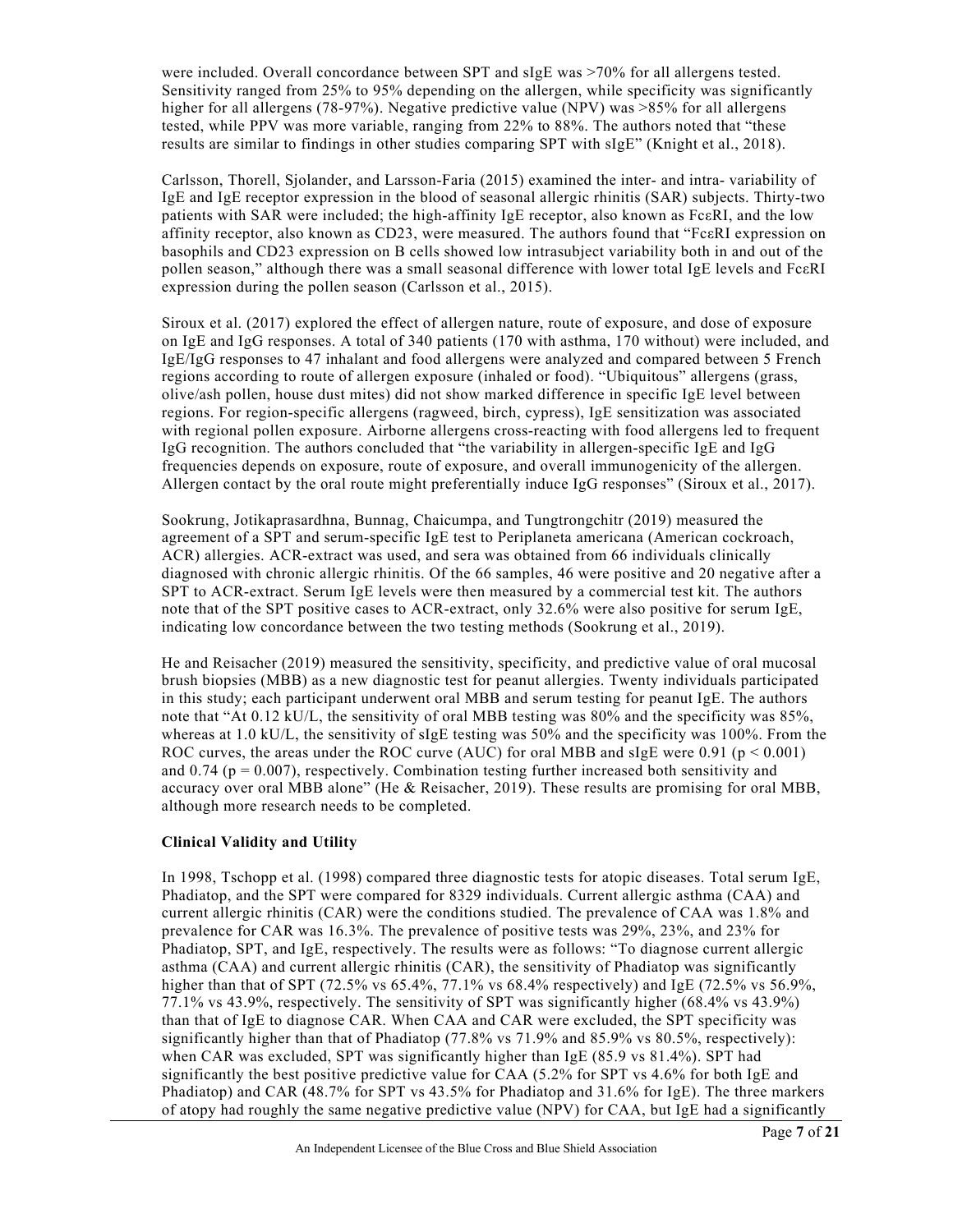were included. Overall concordance between SPT and sIgE was >70% for all allergens tested. Sensitivity ranged from 25% to 95% depending on the allergen, while specificity was significantly higher for all allergens (78-97%). Negative predictive value (NPV) was >85% for all allergens tested, while PPV was more variable, ranging from 22% to 88%. The authors noted that "these results are similar to findings in other studies comparing SPT with sIgE" (Knight et al., 2018).

Carlsson, Thorell, Sjolander, and Larsson-Faria (2015) examined the inter- and intra- variability of IgE and IgE receptor expression in the blood of seasonal allergic rhinitis (SAR) subjects. Thirty-two patients with SAR were included; the high-affinity IgE receptor, also known as FcεRI, and the low affinity receptor, also known as CD23, were measured. The authors found that "FcεRI expression on basophils and CD23 expression on B cells showed low intrasubject variability both in and out of the pollen season," although there was a small seasonal difference with lower total IgE levels and FcεRI expression during the pollen season (Carlsson et al., 2015).

Siroux et al. (2017) explored the effect of allergen nature, route of exposure, and dose of exposure on IgE and IgG responses. A total of 340 patients (170 with asthma, 170 without) were included, and IgE/IgG responses to 47 inhalant and food allergens were analyzed and compared between 5 French regions according to route of allergen exposure (inhaled or food). "Ubiquitous" allergens (grass, olive/ash pollen, house dust mites) did not show marked difference in specific IgE level between regions. For region-specific allergens (ragweed, birch, cypress), IgE sensitization was associated with regional pollen exposure. Airborne allergens cross-reacting with food allergens led to frequent IgG recognition. The authors concluded that "the variability in allergen-specific IgE and IgG frequencies depends on exposure, route of exposure, and overall immunogenicity of the allergen. Allergen contact by the oral route might preferentially induce IgG responses" (Siroux et al., 2017).

Sookrung, Jotikaprasardhna, Bunnag, Chaicumpa, and Tungtrongchitr (2019) measured the agreement of a SPT and serum-specific IgE test to Periplaneta americana (American cockroach, ACR) allergies. ACR-extract was used, and sera was obtained from 66 individuals clinically diagnosed with chronic allergic rhinitis. Of the 66 samples, 46 were positive and 20 negative after a SPT to ACR-extract. Serum IgE levels were then measured by a commercial test kit. The authors note that of the SPT positive cases to ACR-extract, only 32.6% were also positive for serum IgE, indicating low concordance between the two testing methods (Sookrung et al., 2019).

He and Reisacher (2019) measured the sensitivity, specificity, and predictive value of oral mucosal brush biopsies (MBB) as a new diagnostic test for peanut allergies. Twenty individuals participated in this study; each participant underwent oral MBB and serum testing for peanut IgE. The authors note that "At 0.12 kU/L, the sensitivity of oral MBB testing was 80% and the specificity was 85%, whereas at 1.0 kU/L, the sensitivity of sIgE testing was 50% and the specificity was 100%. From the ROC curves, the areas under the ROC curve (AUC) for oral MBB and sIgE were  $0.91$  (p  $\leq 0.001$ ) and 0.74 ( $p = 0.007$ ), respectively. Combination testing further increased both sensitivity and accuracy over oral MBB alone" (He & Reisacher, 2019). These results are promising for oral MBB, although more research needs to be completed.

#### **Clinical Validity and Utility**

In 1998, Tschopp et al. (1998) compared three diagnostic tests for atopic diseases. Total serum IgE, Phadiatop, and the SPT were compared for 8329 individuals. Current allergic asthma (CAA) and current allergic rhinitis (CAR) were the conditions studied. The prevalence of CAA was 1.8% and prevalence for CAR was 16.3%. The prevalence of positive tests was 29%, 23%, and 23% for Phadiatop, SPT, and IgE, respectively. The results were as follows: "To diagnose current allergic asthma (CAA) and current allergic rhinitis (CAR), the sensitivity of Phadiatop was significantly higher than that of SPT (72.5% vs 65.4%, 77.1% vs 68.4% respectively) and IgE (72.5% vs 56.9%, 77.1% vs 43.9%, respectively. The sensitivity of SPT was significantly higher (68.4% vs 43.9%) than that of IgE to diagnose CAR. When CAA and CAR were excluded, the SPT specificity was significantly higher than that of Phadiatop (77.8% vs  $71.9\%$  and  $85.9\%$  vs  $80.5\%$ , respectively): when CAR was excluded, SPT was significantly higher than IgE (85.9 vs 81.4%). SPT had significantly the best positive predictive value for CAA (5.2% for SPT vs 4.6% for both IgE and Phadiatop) and CAR (48.7% for SPT vs 43.5% for Phadiatop and 31.6% for IgE). The three markers of atopy had roughly the same negative predictive value (NPV) for CAA, but IgE had a significantly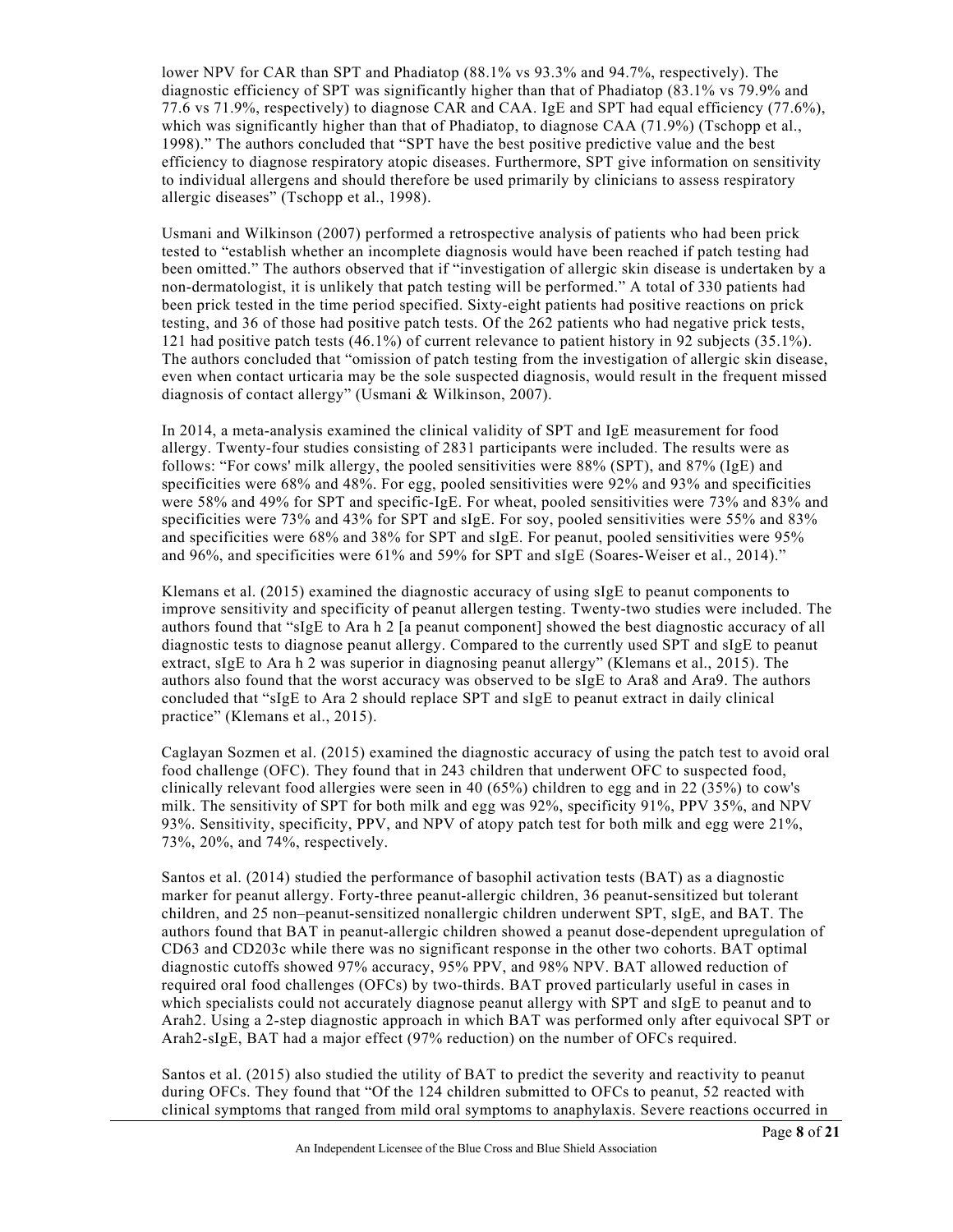lower NPV for CAR than SPT and Phadiatop (88.1% vs 93.3% and 94.7%, respectively). The diagnostic efficiency of SPT was significantly higher than that of Phadiatop (83.1% vs 79.9% and 77.6 vs 71.9%, respectively) to diagnose CAR and CAA. IgE and SPT had equal efficiency (77.6%), which was significantly higher than that of Phadiatop, to diagnose CAA (71.9%) (Tschopp et al., 1998)." The authors concluded that "SPT have the best positive predictive value and the best efficiency to diagnose respiratory atopic diseases. Furthermore, SPT give information on sensitivity to individual allergens and should therefore be used primarily by clinicians to assess respiratory allergic diseases" (Tschopp et al., 1998).

Usmani and Wilkinson (2007) performed a retrospective analysis of patients who had been prick tested to "establish whether an incomplete diagnosis would have been reached if patch testing had been omitted." The authors observed that if "investigation of allergic skin disease is undertaken by a non‐dermatologist, it is unlikely that patch testing will be performed." A total of 330 patients had been prick tested in the time period specified. Sixty-eight patients had positive reactions on prick testing, and 36 of those had positive patch tests. Of the 262 patients who had negative prick tests, 121 had positive patch tests (46.1%) of current relevance to patient history in 92 subjects (35.1%). The authors concluded that "omission of patch testing from the investigation of allergic skin disease, even when contact urticaria may be the sole suspected diagnosis, would result in the frequent missed diagnosis of contact allergy" (Usmani & Wilkinson, 2007).

In 2014, a meta-analysis examined the clinical validity of SPT and IgE measurement for food allergy. Twenty-four studies consisting of 2831 participants were included. The results were as follows: "For cows' milk allergy, the pooled sensitivities were 88% (SPT), and 87% (IgE) and specificities were 68% and 48%. For egg, pooled sensitivities were 92% and 93% and specificities were 58% and 49% for SPT and specific-IgE. For wheat, pooled sensitivities were 73% and 83% and specificities were 73% and 43% for SPT and sIgE. For soy, pooled sensitivities were 55% and 83% and specificities were 68% and 38% for SPT and sIgE. For peanut, pooled sensitivities were 95% and 96%, and specificities were 61% and 59% for SPT and sIgE (Soares-Weiser et al., 2014)."

Klemans et al. (2015) examined the diagnostic accuracy of using sIgE to peanut components to improve sensitivity and specificity of peanut allergen testing. Twenty-two studies were included. The authors found that "sIgE to Ara h 2 [a peanut component] showed the best diagnostic accuracy of all diagnostic tests to diagnose peanut allergy. Compared to the currently used SPT and sIgE to peanut extract, sIgE to Ara h 2 was superior in diagnosing peanut allergy" (Klemans et al., 2015). The authors also found that the worst accuracy was observed to be sIgE to Ara8 and Ara9. The authors concluded that "sIgE to Ara 2 should replace SPT and sIgE to peanut extract in daily clinical practice" (Klemans et al., 2015).

Caglayan Sozmen et al. (2015) examined the diagnostic accuracy of using the patch test to avoid oral food challenge (OFC). They found that in 243 children that underwent OFC to suspected food, clinically relevant food allergies were seen in 40 (65%) children to egg and in 22 (35%) to cow's milk. The sensitivity of SPT for both milk and egg was 92%, specificity 91%, PPV 35%, and NPV 93%. Sensitivity, specificity, PPV, and NPV of atopy patch test for both milk and egg were 21%, 73%, 20%, and 74%, respectively.

Santos et al. (2014) studied the performance of basophil activation tests (BAT) as a diagnostic marker for peanut allergy. Forty-three peanut-allergic children, 36 peanut-sensitized but tolerant children, and 25 non–peanut-sensitized nonallergic children underwent SPT, sIgE, and BAT. The authors found that BAT in peanut-allergic children showed a peanut dose-dependent upregulation of CD63 and CD203c while there was no significant response in the other two cohorts. BAT optimal diagnostic cutoffs showed 97% accuracy, 95% PPV, and 98% NPV. BAT allowed reduction of required oral food challenges (OFCs) by two-thirds. BAT proved particularly useful in cases in which specialists could not accurately diagnose peanut allergy with SPT and sIgE to peanut and to Arah2. Using a 2-step diagnostic approach in which BAT was performed only after equivocal SPT or Arah2-sIgE, BAT had a major effect (97% reduction) on the number of OFCs required.

Santos et al. (2015) also studied the utility of BAT to predict the severity and reactivity to peanut during OFCs. They found that "Of the 124 children submitted to OFCs to peanut, 52 reacted with clinical symptoms that ranged from mild oral symptoms to anaphylaxis. Severe reactions occurred in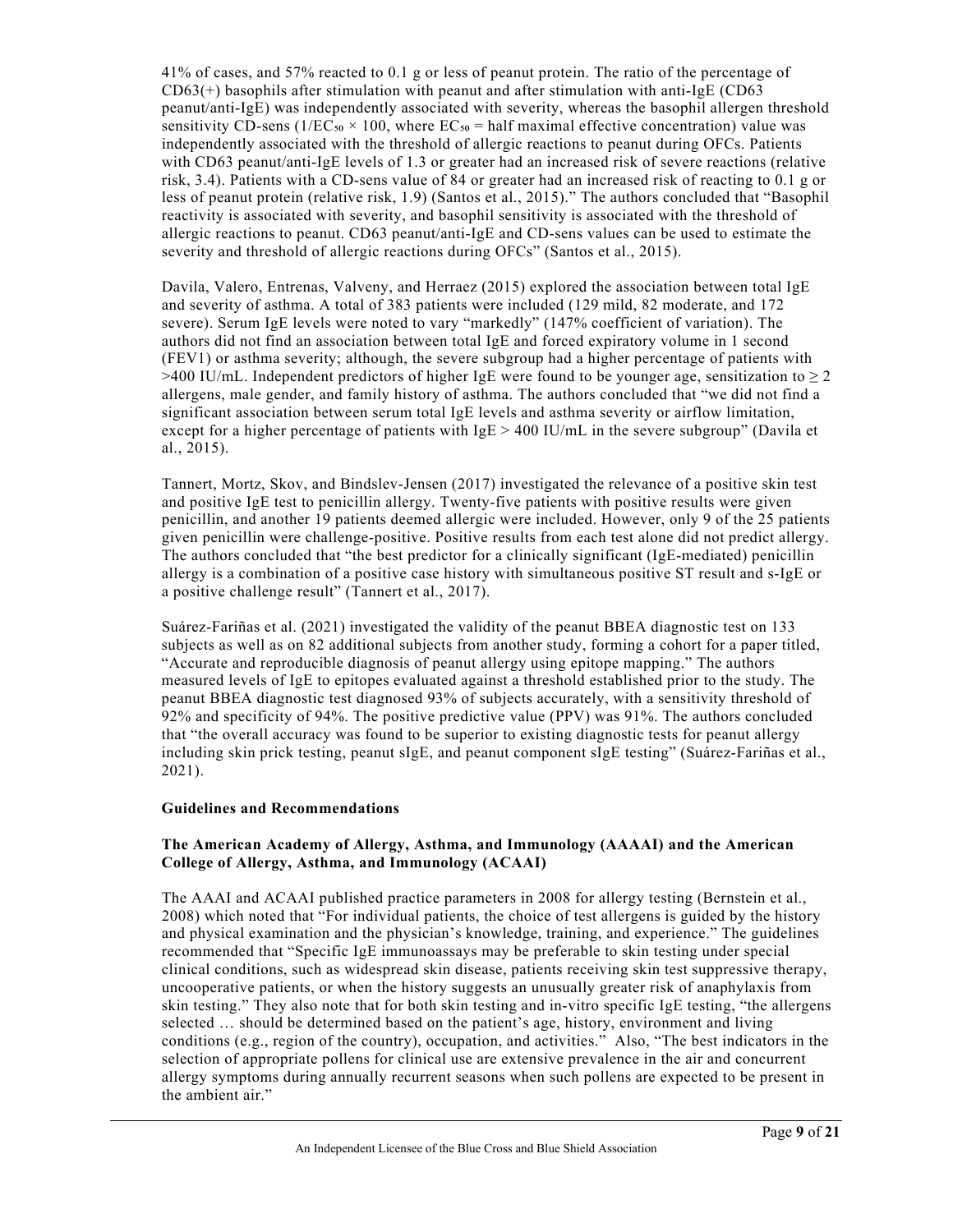41% of cases, and 57% reacted to 0.1 g or less of peanut protein. The ratio of the percentage of  $CD63(+)$  basophils after stimulation with peanut and after stimulation with anti-IgE (CD63) peanut/anti-IgE) was independently associated with severity, whereas the basophil allergen threshold sensitivity CD-sens ( $1/ECs<sub>0</sub> \times 100$ , where  $EC<sub>50</sub> =$  half maximal effective concentration) value was independently associated with the threshold of allergic reactions to peanut during OFCs. Patients with CD63 peanut/anti-IgE levels of 1.3 or greater had an increased risk of severe reactions (relative risk, 3.4). Patients with a CD-sens value of 84 or greater had an increased risk of reacting to 0.1 g or less of peanut protein (relative risk, 1.9) (Santos et al., 2015)." The authors concluded that "Basophil reactivity is associated with severity, and basophil sensitivity is associated with the threshold of allergic reactions to peanut. CD63 peanut/anti-IgE and CD-sens values can be used to estimate the severity and threshold of allergic reactions during OFCs" (Santos et al., 2015).

Davila, Valero, Entrenas, Valveny, and Herraez (2015) explored the association between total IgE and severity of asthma. A total of 383 patients were included (129 mild, 82 moderate, and 172 severe). Serum IgE levels were noted to vary "markedly" (147% coefficient of variation). The authors did not find an association between total IgE and forced expiratory volume in 1 second (FEV1) or asthma severity; although, the severe subgroup had a higher percentage of patients with >400 IU/mL. Independent predictors of higher IgE were found to be younger age, sensitization to  $\geq 2$ allergens, male gender, and family history of asthma. The authors concluded that "we did not find a significant association between serum total IgE levels and asthma severity or airflow limitation, except for a higher percentage of patients with  $IgE > 400$  IU/mL in the severe subgroup" (Davila et al., 2015).

Tannert, Mortz, Skov, and Bindslev-Jensen (2017) investigated the relevance of a positive skin test and positive IgE test to penicillin allergy. Twenty-five patients with positive results were given penicillin, and another 19 patients deemed allergic were included. However, only 9 of the 25 patients given penicillin were challenge-positive. Positive results from each test alone did not predict allergy. The authors concluded that "the best predictor for a clinically significant (IgE-mediated) penicillin allergy is a combination of a positive case history with simultaneous positive ST result and s-IgE or a positive challenge result" (Tannert et al., 2017).

Suárez-Fariñas et al. (2021) investigated the validity of the peanut BBEA diagnostic test on 133 subjects as well as on 82 additional subjects from another study, forming a cohort for a paper titled, "Accurate and reproducible diagnosis of peanut allergy using epitope mapping." The authors measured levels of IgE to epitopes evaluated against a threshold established prior to the study. The peanut BBEA diagnostic test diagnosed 93% of subjects accurately, with a sensitivity threshold of 92% and specificity of 94%. The positive predictive value (PPV) was 91%. The authors concluded that "the overall accuracy was found to be superior to existing diagnostic tests for peanut allergy including skin prick testing, peanut sIgE, and peanut component sIgE testing" (Suárez-Fariñas et al., 2021).

#### **Guidelines and Recommendations**

#### **The American Academy of Allergy, Asthma, and Immunology (AAAAI) and the American College of Allergy, Asthma, and Immunology (ACAAI)**

The AAAI and ACAAI published practice parameters in 2008 for allergy testing (Bernstein et al., 2008) which noted that "For individual patients, the choice of test allergens is guided by the history and physical examination and the physician's knowledge, training, and experience." The guidelines recommended that "Specific IgE immunoassays may be preferable to skin testing under special clinical conditions, such as widespread skin disease, patients receiving skin test suppressive therapy, uncooperative patients, or when the history suggests an unusually greater risk of anaphylaxis from skin testing." They also note that for both skin testing and in-vitro specific IgE testing, "the allergens selected … should be determined based on the patient's age, history, environment and living conditions (e.g., region of the country), occupation, and activities." Also, "The best indicators in the selection of appropriate pollens for clinical use are extensive prevalence in the air and concurrent allergy symptoms during annually recurrent seasons when such pollens are expected to be present in the ambient air."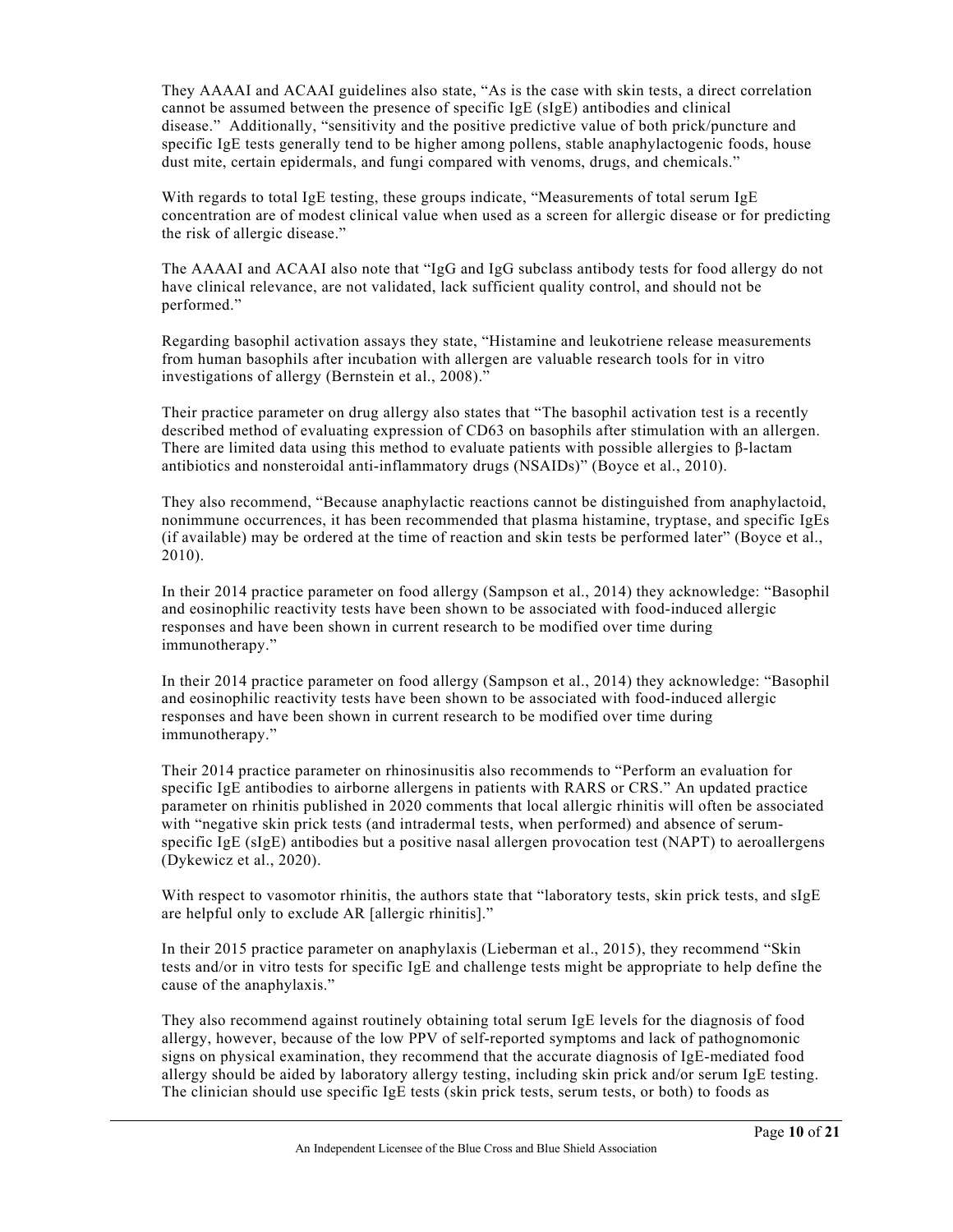They AAAAI and ACAAI guidelines also state, "As is the case with skin tests, a direct correlation cannot be assumed between the presence of specific IgE (sIgE) antibodies and clinical disease." Additionally, "sensitivity and the positive predictive value of both prick/puncture and specific IgE tests generally tend to be higher among pollens, stable anaphylactogenic foods, house dust mite, certain epidermals, and fungi compared with venoms, drugs, and chemicals."

With regards to total IgE testing, these groups indicate, "Measurements of total serum IgE concentration are of modest clinical value when used as a screen for allergic disease or for predicting the risk of allergic disease."

The AAAAI and ACAAI also note that "IgG and IgG subclass antibody tests for food allergy do not have clinical relevance, are not validated, lack sufficient quality control, and should not be performed."

Regarding basophil activation assays they state, "Histamine and leukotriene release measurements from human basophils after incubation with allergen are valuable research tools for in vitro investigations of allergy (Bernstein et al., 2008)."

Their practice parameter on drug allergy also states that "The basophil activation test is a recently described method of evaluating expression of CD63 on basophils after stimulation with an allergen. There are limited data using this method to evaluate patients with possible allergies to  $\beta$ -lactam antibiotics and nonsteroidal anti-inflammatory drugs (NSAIDs)" (Boyce et al., 2010).

They also recommend, "Because anaphylactic reactions cannot be distinguished from anaphylactoid, nonimmune occurrences, it has been recommended that plasma histamine, tryptase, and specific IgEs (if available) may be ordered at the time of reaction and skin tests be performed later" (Boyce et al., 2010).

In their 2014 practice parameter on food allergy (Sampson et al., 2014) they acknowledge: "Basophil and eosinophilic reactivity tests have been shown to be associated with food-induced allergic responses and have been shown in current research to be modified over time during immunotherapy."

In their 2014 practice parameter on food allergy (Sampson et al., 2014) they acknowledge: "Basophil and eosinophilic reactivity tests have been shown to be associated with food-induced allergic responses and have been shown in current research to be modified over time during immunotherapy."

Their 2014 practice parameter on rhinosinusitis also recommends to "Perform an evaluation for specific IgE antibodies to airborne allergens in patients with RARS or CRS." An updated practice parameter on rhinitis published in 2020 comments that local allergic rhinitis will often be associated with "negative skin prick tests (and intradermal tests, when performed) and absence of serumspecific IgE (sIgE) antibodies but a positive nasal allergen provocation test (NAPT) to aeroallergens (Dykewicz et al., 2020).

With respect to vasomotor rhinitis, the authors state that "laboratory tests, skin prick tests, and sIgE are helpful only to exclude AR [allergic rhinitis]."

In their 2015 practice parameter on anaphylaxis (Lieberman et al., 2015), they recommend "Skin tests and/or in vitro tests for specific IgE and challenge tests might be appropriate to help define the cause of the anaphylaxis."

They also recommend against routinely obtaining total serum IgE levels for the diagnosis of food allergy, however, because of the low PPV of self-reported symptoms and lack of pathognomonic signs on physical examination, they recommend that the accurate diagnosis of IgE-mediated food allergy should be aided by laboratory allergy testing, including skin prick and/or serum IgE testing. The clinician should use specific IgE tests (skin prick tests, serum tests, or both) to foods as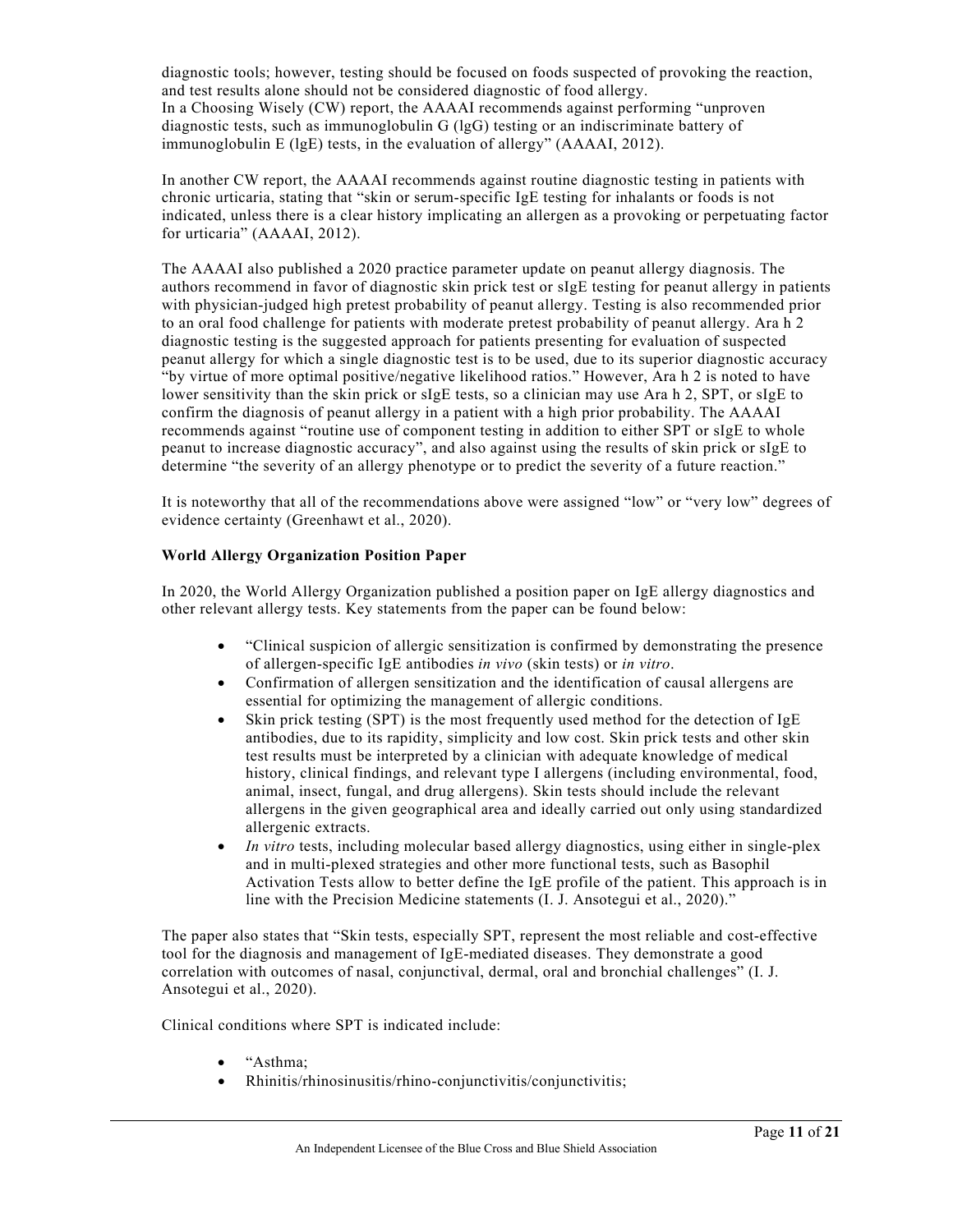diagnostic tools; however, testing should be focused on foods suspected of provoking the reaction, and test results alone should not be considered diagnostic of food allergy. In a Choosing Wisely (CW) report, the AAAAI recommends against performing "unproven diagnostic tests, such as immunoglobulin G (lgG) testing or an indiscriminate battery of immunoglobulin E (lgE) tests, in the evaluation of allergy" (AAAAI, 2012).

In another CW report, the AAAAI recommends against routine diagnostic testing in patients with chronic urticaria, stating that "skin or serum-specific IgE testing for inhalants or foods is not indicated, unless there is a clear history implicating an allergen as a provoking or perpetuating factor for urticaria" (AAAAI, 2012).

The AAAAI also published a 2020 practice parameter update on peanut allergy diagnosis. The authors recommend in favor of diagnostic skin prick test or sIgE testing for peanut allergy in patients with physician-judged high pretest probability of peanut allergy. Testing is also recommended prior to an oral food challenge for patients with moderate pretest probability of peanut allergy. Ara h 2 diagnostic testing is the suggested approach for patients presenting for evaluation of suspected peanut allergy for which a single diagnostic test is to be used, due to its superior diagnostic accuracy "by virtue of more optimal positive/negative likelihood ratios." However, Ara h 2 is noted to have lower sensitivity than the skin prick or sIgE tests, so a clinician may use Ara h 2, SPT, or sIgE to confirm the diagnosis of peanut allergy in a patient with a high prior probability. The AAAAI recommends against "routine use of component testing in addition to either SPT or sIgE to whole peanut to increase diagnostic accuracy", and also against using the results of skin prick or sIgE to determine "the severity of an allergy phenotype or to predict the severity of a future reaction."

It is noteworthy that all of the recommendations above were assigned "low" or "very low" degrees of evidence certainty (Greenhawt et al., 2020).

#### **World Allergy Organization Position Paper**

In 2020, the World Allergy Organization published a position paper on IgE allergy diagnostics and other relevant allergy tests. Key statements from the paper can be found below:

- "Clinical suspicion of allergic sensitization is confirmed by demonstrating the presence of allergen-specific IgE antibodies *in vivo* (skin tests) or *in vitro*.
- Confirmation of allergen sensitization and the identification of causal allergens are essential for optimizing the management of allergic conditions.
- Skin prick testing (SPT) is the most frequently used method for the detection of  $IgE$ antibodies, due to its rapidity, simplicity and low cost. Skin prick tests and other skin test results must be interpreted by a clinician with adequate knowledge of medical history, clinical findings, and relevant type I allergens (including environmental, food, animal, insect, fungal, and drug allergens). Skin tests should include the relevant allergens in the given geographical area and ideally carried out only using standardized allergenic extracts.
- *In vitro* tests, including molecular based allergy diagnostics, using either in single-plex and in multi-plexed strategies and other more functional tests, such as Basophil Activation Tests allow to better define the IgE profile of the patient. This approach is in line with the Precision Medicine statements (I. J. Ansotegui et al., 2020)."

The paper also states that "Skin tests, especially SPT, represent the most reliable and cost-effective tool for the diagnosis and management of IgE-mediated diseases. They demonstrate a good correlation with outcomes of nasal, conjunctival, dermal, oral and bronchial challenges" (I. J. Ansotegui et al., 2020).

Clinical conditions where SPT is indicated include:

- "Asthma;
- Rhinitis/rhinosinusitis/rhino-conjunctivitis/conjunctivitis;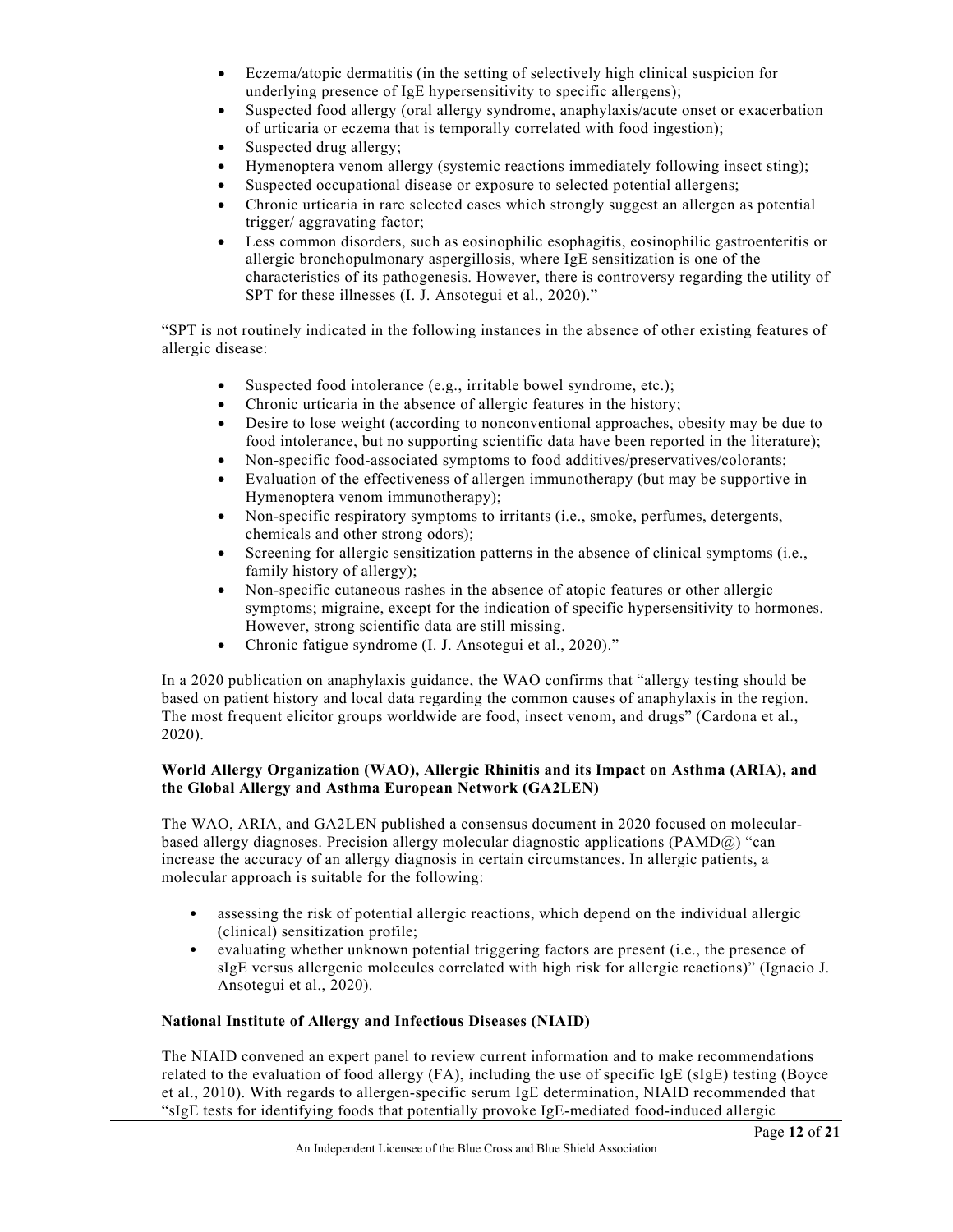- Eczema/atopic dermatitis (in the setting of selectively high clinical suspicion for underlying presence of IgE hypersensitivity to specific allergens);
- Suspected food allergy (oral allergy syndrome, anaphylaxis/acute onset or exacerbation of urticaria or eczema that is temporally correlated with food ingestion);
- Suspected drug allergy;
- Hymenoptera venom allergy (systemic reactions immediately following insect sting);
- Suspected occupational disease or exposure to selected potential allergens;
- Chronic urticaria in rare selected cases which strongly suggest an allergen as potential trigger/ aggravating factor;
- Less common disorders, such as eosinophilic esophagitis, eosinophilic gastroenteritis or allergic bronchopulmonary aspergillosis, where IgE sensitization is one of the characteristics of its pathogenesis. However, there is controversy regarding the utility of SPT for these illnesses (I. J. Ansotegui et al., 2020)."

"SPT is not routinely indicated in the following instances in the absence of other existing features of allergic disease:

- Suspected food intolerance (e.g., irritable bowel syndrome, etc.);
- Chronic urticaria in the absence of allergic features in the history;
- Desire to lose weight (according to nonconventional approaches, obesity may be due to food intolerance, but no supporting scientific data have been reported in the literature);
- Non-specific food-associated symptoms to food additives/preservatives/colorants;
- Evaluation of the effectiveness of allergen immunotherapy (but may be supportive in Hymenoptera venom immunotherapy);
- Non-specific respiratory symptoms to irritants (i.e., smoke, perfumes, detergents, chemicals and other strong odors);
- Screening for allergic sensitization patterns in the absence of clinical symptoms (i.e., family history of allergy);
- Non-specific cutaneous rashes in the absence of atopic features or other allergic symptoms; migraine, except for the indication of specific hypersensitivity to hormones. However, strong scientific data are still missing.
- Chronic fatigue syndrome (I. J. Ansotegui et al., 2020)."

In a 2020 publication on anaphylaxis guidance, the WAO confirms that "allergy testing should be based on patient history and local data regarding the common causes of anaphylaxis in the region. The most frequent elicitor groups worldwide are food, insect venom, and drugs" (Cardona et al., 2020).

## **World Allergy Organization (WAO), Allergic Rhinitis and its Impact on Asthma (ARIA), and the Global Allergy and Asthma European Network (GA2LEN)**

The WAO, ARIA, and GA2LEN published a consensus document in 2020 focused on molecularbased allergy diagnoses. Precision allergy molecular diagnostic applications (PAMD@) "can increase the accuracy of an allergy diagnosis in certain circumstances. In allergic patients, a molecular approach is suitable for the following:

- assessing the risk of potential allergic reactions, which depend on the individual allergic (clinical) sensitization profile;
- evaluating whether unknown potential triggering factors are present (i.e., the presence of sIgE versus allergenic molecules correlated with high risk for allergic reactions)" (Ignacio J. Ansotegui et al., 2020).

## **National Institute of Allergy and Infectious Diseases (NIAID)**

The NIAID convened an expert panel to review current information and to make recommendations related to the evaluation of food allergy (FA), including the use of specific IgE (sIgE) testing (Boyce et al., 2010). With regards to allergen-specific serum IgE determination, NIAID recommended that "sIgE tests for identifying foods that potentially provoke IgE-mediated food-induced allergic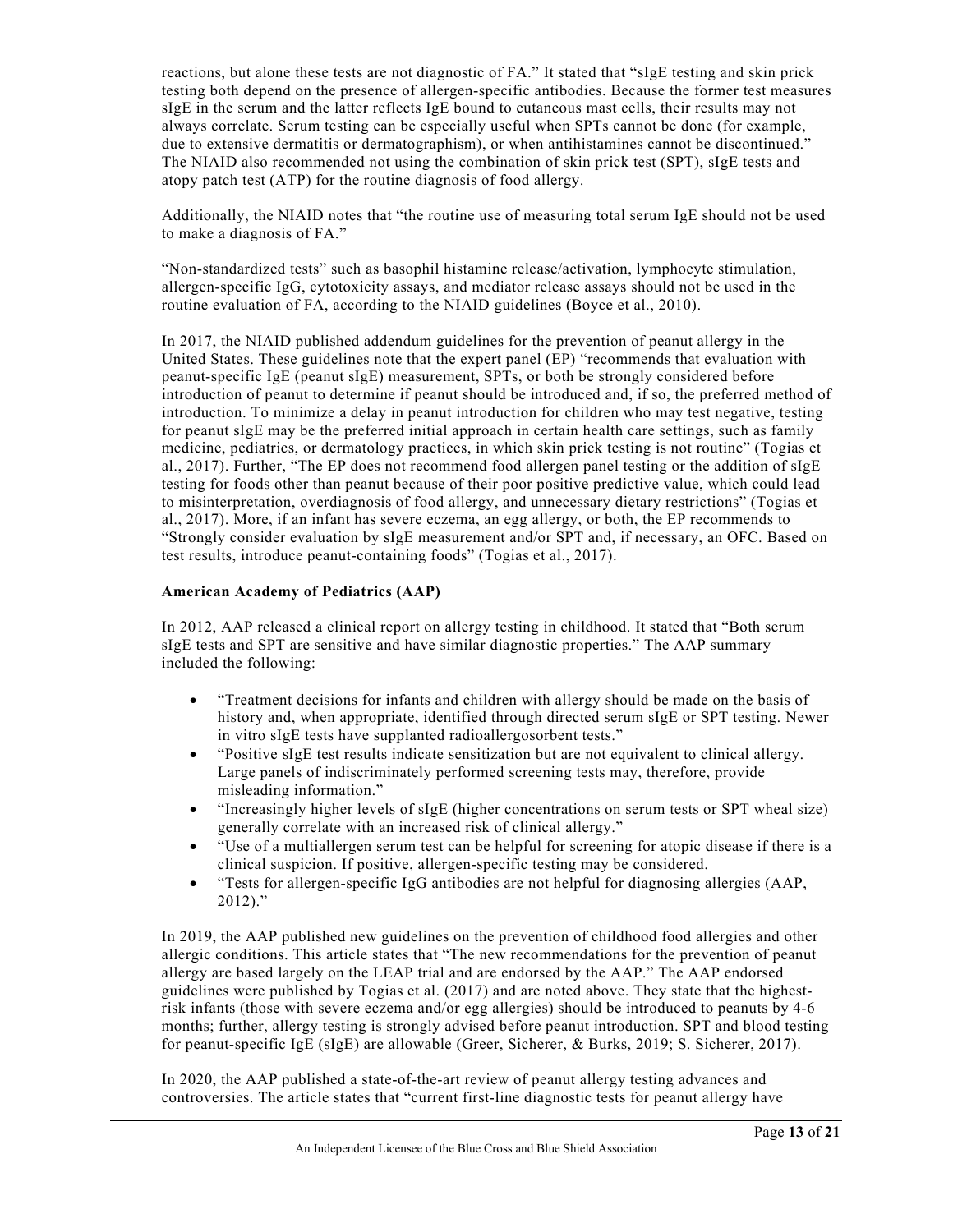reactions, but alone these tests are not diagnostic of FA." It stated that "sIgE testing and skin prick testing both depend on the presence of allergen-specific antibodies. Because the former test measures sIgE in the serum and the latter reflects IgE bound to cutaneous mast cells, their results may not always correlate. Serum testing can be especially useful when SPTs cannot be done (for example, due to extensive dermatitis or dermatographism), or when antihistamines cannot be discontinued." The NIAID also recommended not using the combination of skin prick test (SPT), sIgE tests and atopy patch test (ATP) for the routine diagnosis of food allergy.

Additionally, the NIAID notes that "the routine use of measuring total serum IgE should not be used to make a diagnosis of FA."

"Non-standardized tests" such as basophil histamine release/activation, lymphocyte stimulation, allergen-specific IgG, cytotoxicity assays, and mediator release assays should not be used in the routine evaluation of FA, according to the NIAID guidelines (Boyce et al., 2010).

In 2017, the NIAID published addendum guidelines for the prevention of peanut allergy in the United States. These guidelines note that the expert panel (EP) "recommends that evaluation with peanut-specific IgE (peanut sIgE) measurement, SPTs, or both be strongly considered before introduction of peanut to determine if peanut should be introduced and, if so, the preferred method of introduction. To minimize a delay in peanut introduction for children who may test negative, testing for peanut sIgE may be the preferred initial approach in certain health care settings, such as family medicine, pediatrics, or dermatology practices, in which skin prick testing is not routine" (Togias et al., 2017). Further, "The EP does not recommend food allergen panel testing or the addition of sIgE testing for foods other than peanut because of their poor positive predictive value, which could lead to misinterpretation, overdiagnosis of food allergy, and unnecessary dietary restrictions" (Togias et al., 2017). More, if an infant has severe eczema, an egg allergy, or both, the EP recommends to "Strongly consider evaluation by sIgE measurement and/or SPT and, if necessary, an OFC. Based on test results, introduce peanut-containing foods" (Togias et al., 2017).

#### **American Academy of Pediatrics (AAP)**

In 2012, AAP released a clinical report on allergy testing in childhood. It stated that "Both serum sIgE tests and SPT are sensitive and have similar diagnostic properties." The AAP summary included the following:

- "Treatment decisions for infants and children with allergy should be made on the basis of history and, when appropriate, identified through directed serum sIgE or SPT testing. Newer in vitro sIgE tests have supplanted radioallergosorbent tests."
- "Positive sIgE test results indicate sensitization but are not equivalent to clinical allergy. Large panels of indiscriminately performed screening tests may, therefore, provide misleading information."
- "Increasingly higher levels of sIgE (higher concentrations on serum tests or SPT wheal size) generally correlate with an increased risk of clinical allergy."
- "Use of a multiallergen serum test can be helpful for screening for atopic disease if there is a clinical suspicion. If positive, allergen-specific testing may be considered.
- "Tests for allergen-specific IgG antibodies are not helpful for diagnosing allergies (AAP, 2012)."

In 2019, the AAP published new guidelines on the prevention of childhood food allergies and other allergic conditions. This article states that "The new recommendations for the prevention of peanut allergy are based largely on the LEAP trial and are endorsed by the AAP." The AAP endorsed guidelines were published by Togias et al. (2017) and are noted above. They state that the highestrisk infants (those with severe eczema and/or egg allergies) should be introduced to peanuts by 4-6 months; further, allergy testing is strongly advised before peanut introduction. SPT and blood testing for peanut-specific IgE (sIgE) are allowable (Greer, Sicherer, & Burks, 2019; S. Sicherer, 2017).

In 2020, the AAP published a state-of-the-art review of peanut allergy testing advances and controversies. The article states that "current first-line diagnostic tests for peanut allergy have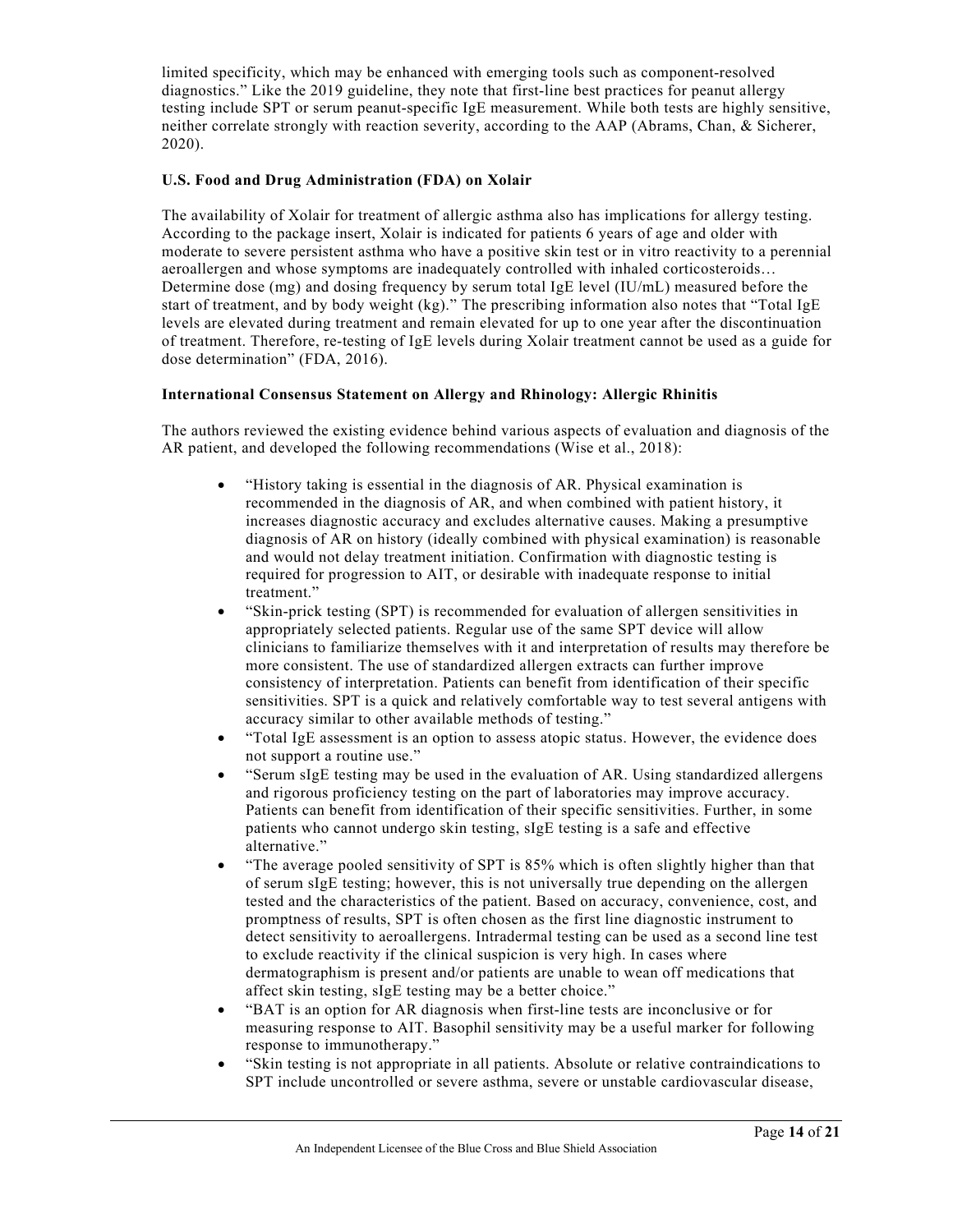limited specificity, which may be enhanced with emerging tools such as component-resolved diagnostics." Like the 2019 guideline, they note that first-line best practices for peanut allergy testing include SPT or serum peanut-specific IgE measurement. While both tests are highly sensitive, neither correlate strongly with reaction severity, according to the AAP (Abrams, Chan, & Sicherer, 2020).

#### **U.S. Food and Drug Administration (FDA) on Xolair**

The availability of Xolair for treatment of allergic asthma also has implications for allergy testing. According to the package insert, Xolair is indicated for patients 6 years of age and older with moderate to severe persistent asthma who have a positive skin test or in vitro reactivity to a perennial aeroallergen and whose symptoms are inadequately controlled with inhaled corticosteroids… Determine dose (mg) and dosing frequency by serum total IgE level (IU/mL) measured before the start of treatment, and by body weight (kg)." The prescribing information also notes that "Total IgE levels are elevated during treatment and remain elevated for up to one year after the discontinuation of treatment. Therefore, re-testing of IgE levels during Xolair treatment cannot be used as a guide for dose determination" (FDA, 2016).

#### **International Consensus Statement on Allergy and Rhinology: Allergic Rhinitis**

The authors reviewed the existing evidence behind various aspects of evaluation and diagnosis of the AR patient, and developed the following recommendations (Wise et al., 2018):

- "History taking is essential in the diagnosis of AR. Physical examination is recommended in the diagnosis of AR, and when combined with patient history, it increases diagnostic accuracy and excludes alternative causes. Making a presumptive diagnosis of AR on history (ideally combined with physical examination) is reasonable and would not delay treatment initiation. Confirmation with diagnostic testing is required for progression to AIT, or desirable with inadequate response to initial treatment."
- "Skin‐prick testing (SPT) is recommended for evaluation of allergen sensitivities in appropriately selected patients. Regular use of the same SPT device will allow clinicians to familiarize themselves with it and interpretation of results may therefore be more consistent. The use of standardized allergen extracts can further improve consistency of interpretation. Patients can benefit from identification of their specific sensitivities. SPT is a quick and relatively comfortable way to test several antigens with accuracy similar to other available methods of testing."
- "Total IgE assessment is an option to assess atopic status. However, the evidence does not support a routine use."
- "Serum sIgE testing may be used in the evaluation of AR. Using standardized allergens and rigorous proficiency testing on the part of laboratories may improve accuracy. Patients can benefit from identification of their specific sensitivities. Further, in some patients who cannot undergo skin testing, sIgE testing is a safe and effective alternative."
- "The average pooled sensitivity of SPT is 85% which is often slightly higher than that of serum sIgE testing; however, this is not universally true depending on the allergen tested and the characteristics of the patient. Based on accuracy, convenience, cost, and promptness of results, SPT is often chosen as the first line diagnostic instrument to detect sensitivity to aeroallergens. Intradermal testing can be used as a second line test to exclude reactivity if the clinical suspicion is very high. In cases where dermatographism is present and/or patients are unable to wean off medications that affect skin testing, sIgE testing may be a better choice."
- "BAT is an option for AR diagnosis when first‐line tests are inconclusive or for measuring response to AIT. Basophil sensitivity may be a useful marker for following response to immunotherapy."
- "Skin testing is not appropriate in all patients. Absolute or relative contraindications to SPT include uncontrolled or severe asthma, severe or unstable cardiovascular disease,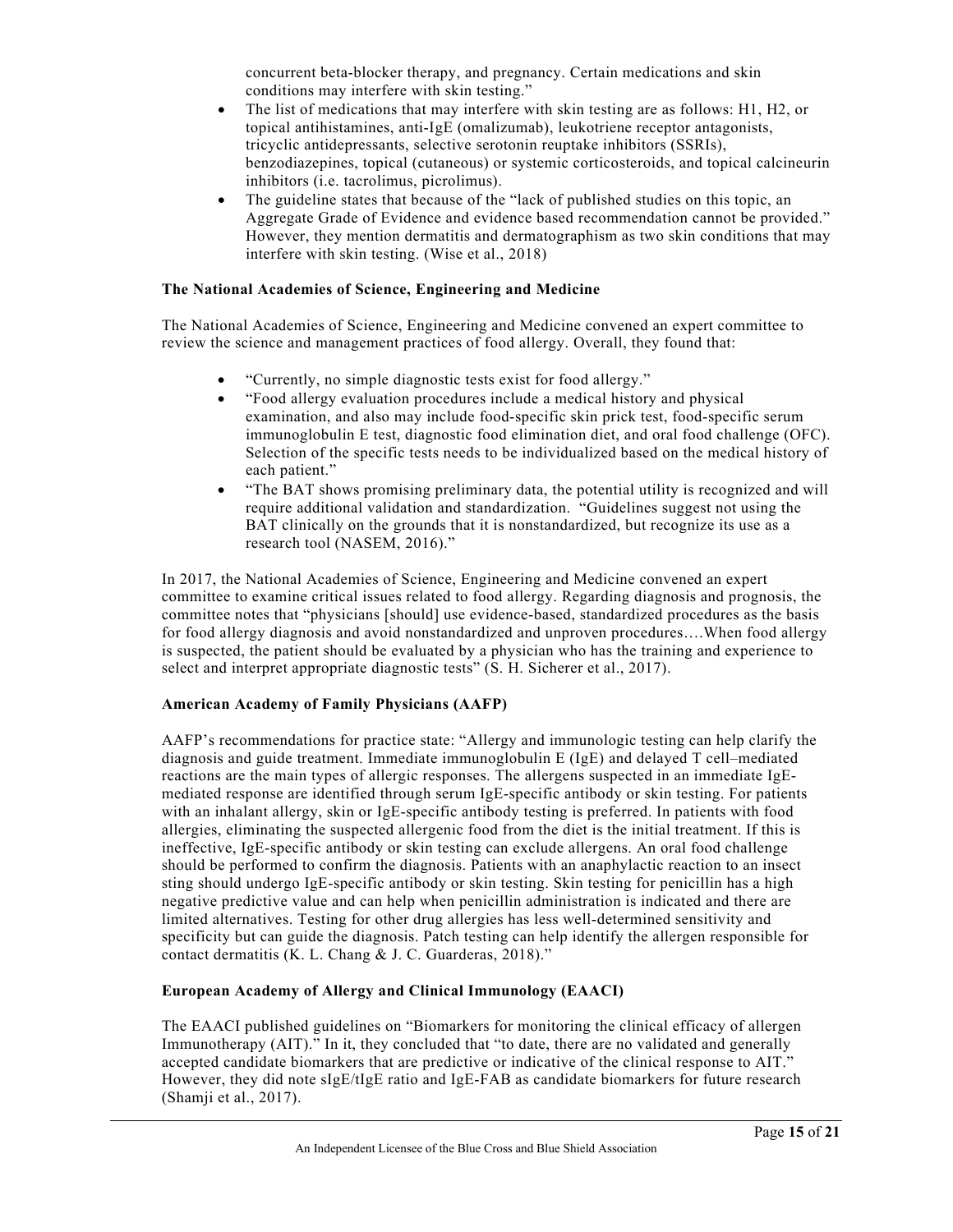concurrent beta‐blocker therapy, and pregnancy. Certain medications and skin conditions may interfere with skin testing."

- The list of medications that may interfere with skin testing are as follows: H1, H2, or topical antihistamines, anti‐IgE (omalizumab), leukotriene receptor antagonists, tricyclic antidepressants, selective serotonin reuptake inhibitors (SSRIs), benzodiazepines, topical (cutaneous) or systemic corticosteroids, and topical calcineurin inhibitors (i.e. tacrolimus, picrolimus).
- The guideline states that because of the "lack of published studies on this topic, an Aggregate Grade of Evidence and evidence based recommendation cannot be provided." However, they mention dermatitis and dermatographism as two skin conditions that may interfere with skin testing. (Wise et al., 2018)

#### **The National Academies of Science, Engineering and Medicine**

The National Academies of Science, Engineering and Medicine convened an expert committee to review the science and management practices of food allergy. Overall, they found that:

- "Currently, no simple diagnostic tests exist for food allergy."
- "Food allergy evaluation procedures include a medical history and physical examination, and also may include food-specific skin prick test, food-specific serum immunoglobulin E test, diagnostic food elimination diet, and oral food challenge (OFC). Selection of the specific tests needs to be individualized based on the medical history of each patient."
- "The BAT shows promising preliminary data, the potential utility is recognized and will require additional validation and standardization. "Guidelines suggest not using the BAT clinically on the grounds that it is nonstandardized, but recognize its use as a research tool (NASEM, 2016)."

In 2017, the National Academies of Science, Engineering and Medicine convened an expert committee to examine critical issues related to food allergy. Regarding diagnosis and prognosis, the committee notes that "physicians [should] use evidence-based, standardized procedures as the basis for food allergy diagnosis and avoid nonstandardized and unproven procedures….When food allergy is suspected, the patient should be evaluated by a physician who has the training and experience to select and interpret appropriate diagnostic tests" (S. H. Sicherer et al., 2017).

#### **American Academy of Family Physicians (AAFP)**

AAFP's recommendations for practice state: "Allergy and immunologic testing can help clarify the diagnosis and guide treatment. Immediate immunoglobulin E (IgE) and delayed T cell–mediated reactions are the main types of allergic responses. The allergens suspected in an immediate IgEmediated response are identified through serum IgE-specific antibody or skin testing. For patients with an inhalant allergy, skin or IgE-specific antibody testing is preferred. In patients with food allergies, eliminating the suspected allergenic food from the diet is the initial treatment. If this is ineffective, IgE-specific antibody or skin testing can exclude allergens. An oral food challenge should be performed to confirm the diagnosis. Patients with an anaphylactic reaction to an insect sting should undergo IgE-specific antibody or skin testing. Skin testing for penicillin has a high negative predictive value and can help when penicillin administration is indicated and there are limited alternatives. Testing for other drug allergies has less well-determined sensitivity and specificity but can guide the diagnosis. Patch testing can help identify the allergen responsible for contact dermatitis (K. L. Chang & J. C. Guarderas, 2018)."

#### **European Academy of Allergy and Clinical Immunology (EAACI)**

The EAACI published guidelines on "Biomarkers for monitoring the clinical efficacy of allergen Immunotherapy (AIT)." In it, they concluded that "to date, there are no validated and generally accepted candidate biomarkers that are predictive or indicative of the clinical response to AIT." However, they did note sIgE/tIgE ratio and IgE‐FAB as candidate biomarkers for future research (Shamji et al., 2017).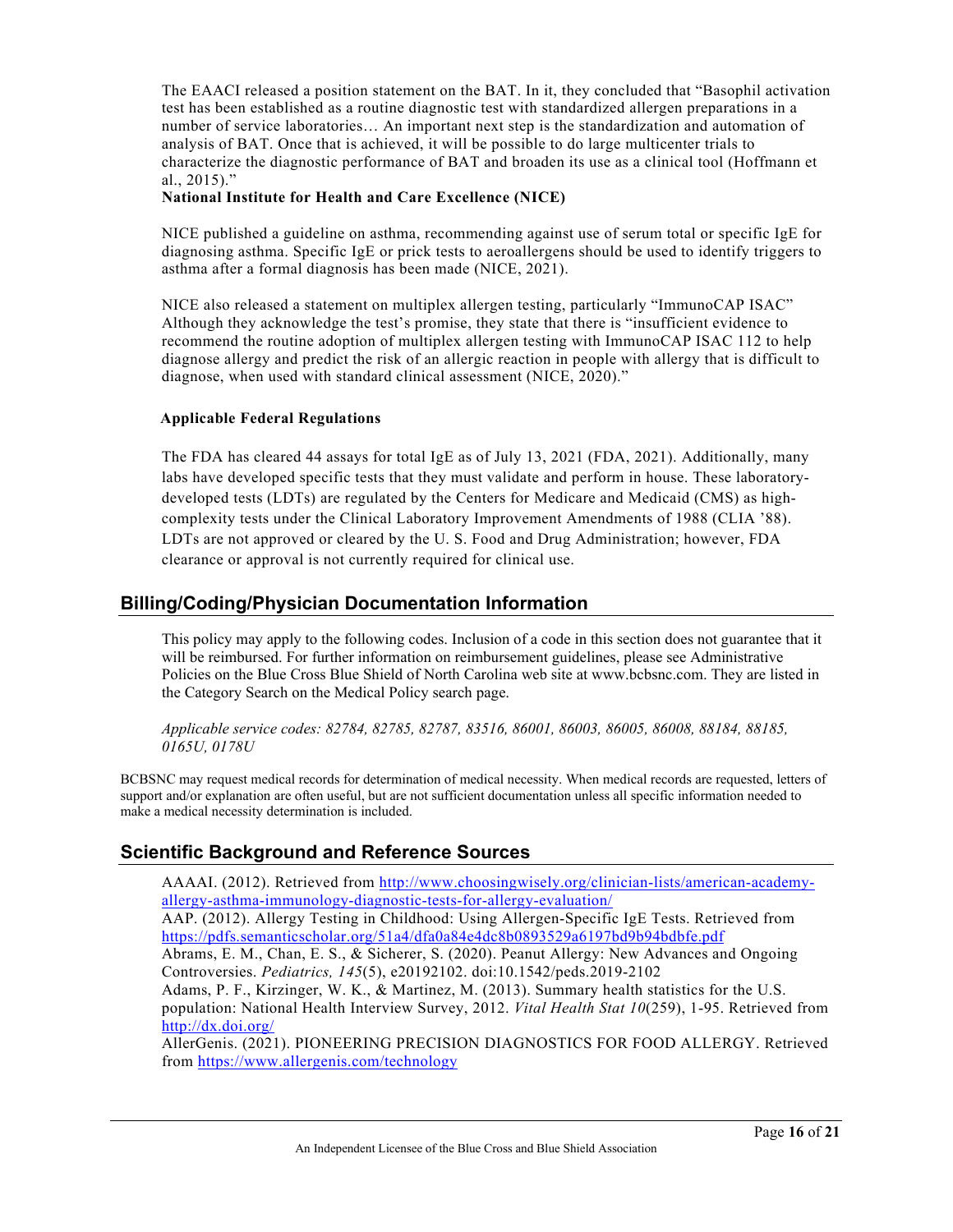The EAACI released a position statement on the BAT. In it, they concluded that "Basophil activation test has been established as a routine diagnostic test with standardized allergen preparations in a number of service laboratories… An important next step is the standardization and automation of analysis of BAT. Once that is achieved, it will be possible to do large multicenter trials to characterize the diagnostic performance of BAT and broaden its use as a clinical tool (Hoffmann et al., 2015)."

#### **National Institute for Health and Care Excellence (NICE)**

NICE published a guideline on asthma, recommending against use of serum total or specific IgE for diagnosing asthma. Specific IgE or prick tests to aeroallergens should be used to identify triggers to asthma after a formal diagnosis has been made (NICE, 2021).

NICE also released a statement on multiplex allergen testing, particularly "ImmunoCAP ISAC" Although they acknowledge the test's promise, they state that there is "insufficient evidence to recommend the routine adoption of multiplex allergen testing with ImmunoCAP ISAC 112 to help diagnose allergy and predict the risk of an allergic reaction in people with allergy that is difficult to diagnose, when used with standard clinical assessment (NICE, 2020)."

#### **Applicable Federal Regulations**

The FDA has cleared 44 assays for total IgE as of July 13, 2021 (FDA, 2021). Additionally, many labs have developed specific tests that they must validate and perform in house. These laboratorydeveloped tests (LDTs) are regulated by the Centers for Medicare and Medicaid (CMS) as highcomplexity tests under the Clinical Laboratory Improvement Amendments of 1988 (CLIA '88). LDTs are not approved or cleared by the U. S. Food and Drug Administration; however, FDA clearance or approval is not currently required for clinical use.

# **Billing/Coding/Physician Documentation Information**

This policy may apply to the following codes. Inclusion of a code in this section does not guarantee that it will be reimbursed. For further information on reimbursement guidelines, please see Administrative Policies on the Blue Cross Blue Shield of North Carolina web site at www.bcbsnc.com. They are listed in the Category Search on the Medical Policy search page.

*Applicable service codes: 82784, 82785, 82787, 83516, 86001, 86003, 86005, 86008, 88184, 88185, 0165U, 0178U*

BCBSNC may request medical records for determination of medical necessity. When medical records are requested, letters of support and/or explanation are often useful, but are not sufficient documentation unless all specific information needed to make a medical necessity determination is included.

# **Scientific Background and Reference Sources**

AAAAI. (2012). Retrieved from [http://www.choosingwisely.org/clinician-lists/american-academy](http://www.choosingwisely.org/clinician-lists/american-academy-allergy-asthma-immunology-diagnostic-tests-for-allergy-evaluation/)[allergy-asthma-immunology-diagnostic-tests-for-allergy-evaluation/](http://www.choosingwisely.org/clinician-lists/american-academy-allergy-asthma-immunology-diagnostic-tests-for-allergy-evaluation/) AAP. (2012). Allergy Testing in Childhood: Using Allergen-Specific IgE Tests. Retrieved from

<https://pdfs.semanticscholar.org/51a4/dfa0a84e4dc8b0893529a6197bd9b94bdbfe.pdf> Abrams, E. M., Chan, E. S., & Sicherer, S. (2020). Peanut Allergy: New Advances and Ongoing Controversies. *Pediatrics, 145*(5), e20192102. doi:10.1542/peds.2019-2102

Adams, P. F., Kirzinger, W. K., & Martinez, M. (2013). Summary health statistics for the U.S. population: National Health Interview Survey, 2012. *Vital Health Stat 10*(259), 1-95. Retrieved from <http://dx.doi.org/>

AllerGenis. (2021). PIONEERING PRECISION DIAGNOSTICS FOR FOOD ALLERGY. Retrieved from<https://www.allergenis.com/technology>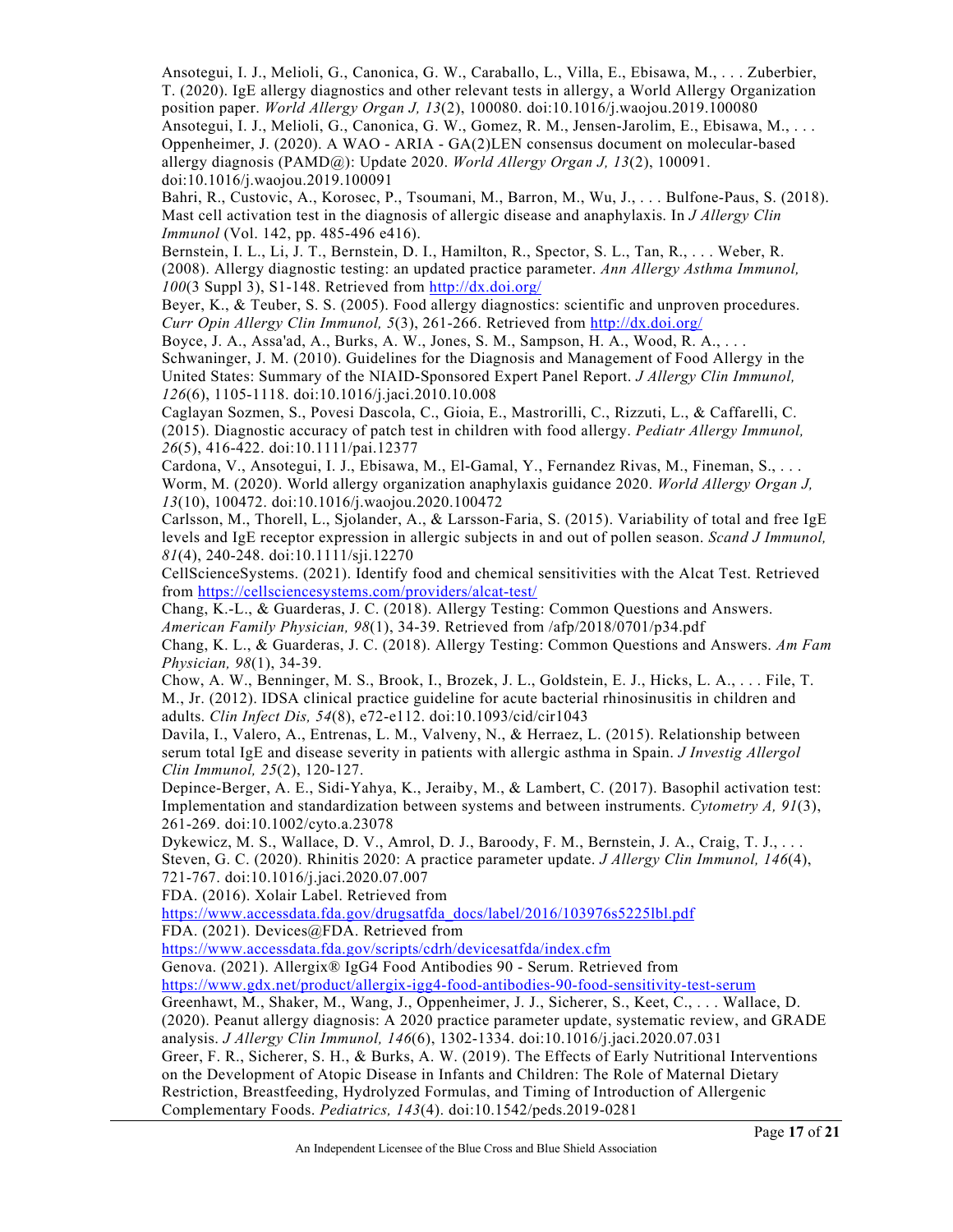Ansotegui, I. J., Melioli, G., Canonica, G. W., Caraballo, L., Villa, E., Ebisawa, M., . . . Zuberbier, T. (2020). IgE allergy diagnostics and other relevant tests in allergy, a World Allergy Organization position paper. *World Allergy Organ J, 13*(2), 100080. doi:10.1016/j.waojou.2019.100080 Ansotegui, I. J., Melioli, G., Canonica, G. W., Gomez, R. M., Jensen-Jarolim, E., Ebisawa, M., . . . Oppenheimer, J. (2020). A WAO - ARIA - GA(2)LEN consensus document on molecular-based allergy diagnosis (PAMD@): Update 2020. *World Allergy Organ J, 13*(2), 100091. doi:10.1016/j.waojou.2019.100091

Bahri, R., Custovic, A., Korosec, P., Tsoumani, M., Barron, M., Wu, J., . . . Bulfone-Paus, S. (2018). Mast cell activation test in the diagnosis of allergic disease and anaphylaxis. In *J Allergy Clin Immunol* (Vol. 142, pp. 485-496 e416).

Bernstein, I. L., Li, J. T., Bernstein, D. I., Hamilton, R., Spector, S. L., Tan, R., . . . Weber, R. (2008). Allergy diagnostic testing: an updated practice parameter. *Ann Allergy Asthma Immunol, 100*(3 Suppl 3), S1-148. Retrieved from<http://dx.doi.org/>

Beyer, K., & Teuber, S. S. (2005). Food allergy diagnostics: scientific and unproven procedures. *Curr Opin Allergy Clin Immunol, 5*(3), 261-266. Retrieved from<http://dx.doi.org/>

Boyce, J. A., Assa'ad, A., Burks, A. W., Jones, S. M., Sampson, H. A., Wood, R. A., . . . Schwaninger, J. M. (2010). Guidelines for the Diagnosis and Management of Food Allergy in the United States: Summary of the NIAID-Sponsored Expert Panel Report. *J Allergy Clin Immunol, 126*(6), 1105-1118. doi:10.1016/j.jaci.2010.10.008

Caglayan Sozmen, S., Povesi Dascola, C., Gioia, E., Mastrorilli, C., Rizzuti, L., & Caffarelli, C. (2015). Diagnostic accuracy of patch test in children with food allergy. *Pediatr Allergy Immunol, 26*(5), 416-422. doi:10.1111/pai.12377

Cardona, V., Ansotegui, I. J., Ebisawa, M., El-Gamal, Y., Fernandez Rivas, M., Fineman, S., . . . Worm, M. (2020). World allergy organization anaphylaxis guidance 2020. *World Allergy Organ J, 13*(10), 100472. doi:10.1016/j.waojou.2020.100472

Carlsson, M., Thorell, L., Sjolander, A., & Larsson-Faria, S. (2015). Variability of total and free IgE levels and IgE receptor expression in allergic subjects in and out of pollen season. *Scand J Immunol, 81*(4), 240-248. doi:10.1111/sji.12270

CellScienceSystems. (2021). Identify food and chemical sensitivities with the Alcat Test. Retrieved from<https://cellsciencesystems.com/providers/alcat-test/>

Chang, K.-L., & Guarderas, J. C. (2018). Allergy Testing: Common Questions and Answers. *American Family Physician, 98*(1), 34-39. Retrieved from /afp/2018/0701/p34.pdf

Chang, K. L., & Guarderas, J. C. (2018). Allergy Testing: Common Questions and Answers. *Am Fam Physician, 98*(1), 34-39.

Chow, A. W., Benninger, M. S., Brook, I., Brozek, J. L., Goldstein, E. J., Hicks, L. A., . . . File, T. M., Jr. (2012). IDSA clinical practice guideline for acute bacterial rhinosinusitis in children and adults. *Clin Infect Dis, 54*(8), e72-e112. doi:10.1093/cid/cir1043

Davila, I., Valero, A., Entrenas, L. M., Valveny, N., & Herraez, L. (2015). Relationship between serum total IgE and disease severity in patients with allergic asthma in Spain. *J Investig Allergol Clin Immunol, 25*(2), 120-127.

Depince-Berger, A. E., Sidi-Yahya, K., Jeraiby, M., & Lambert, C. (2017). Basophil activation test: Implementation and standardization between systems and between instruments. *Cytometry A, 91*(3), 261-269. doi:10.1002/cyto.a.23078

Dykewicz, M. S., Wallace, D. V., Amrol, D. J., Baroody, F. M., Bernstein, J. A., Craig, T. J., . . . Steven, G. C. (2020). Rhinitis 2020: A practice parameter update. *J Allergy Clin Immunol, 146*(4), 721-767. doi:10.1016/j.jaci.2020.07.007

FDA. (2016). Xolair Label. Retrieved from

[https://www.accessdata.fda.gov/drugsatfda\\_docs/label/2016/103976s5225lbl.pdf](https://www.accessdata.fda.gov/drugsatfda_docs/label/2016/103976s5225lbl.pdf) FDA. (2021). Devices@FDA. Retrieved from

<https://www.accessdata.fda.gov/scripts/cdrh/devicesatfda/index.cfm>

Genova. (2021). Allergix® IgG4 Food Antibodies 90 - Serum. Retrieved from

<https://www.gdx.net/product/allergix-igg4-food-antibodies-90-food-sensitivity-test-serum>

Greenhawt, M., Shaker, M., Wang, J., Oppenheimer, J. J., Sicherer, S., Keet, C., . . . Wallace, D. (2020). Peanut allergy diagnosis: A 2020 practice parameter update, systematic review, and GRADE analysis. *J Allergy Clin Immunol, 146*(6), 1302-1334. doi:10.1016/j.jaci.2020.07.031

Greer, F. R., Sicherer, S. H., & Burks, A. W. (2019). The Effects of Early Nutritional Interventions on the Development of Atopic Disease in Infants and Children: The Role of Maternal Dietary Restriction, Breastfeeding, Hydrolyzed Formulas, and Timing of Introduction of Allergenic Complementary Foods. *Pediatrics, 143*(4). doi:10.1542/peds.2019-0281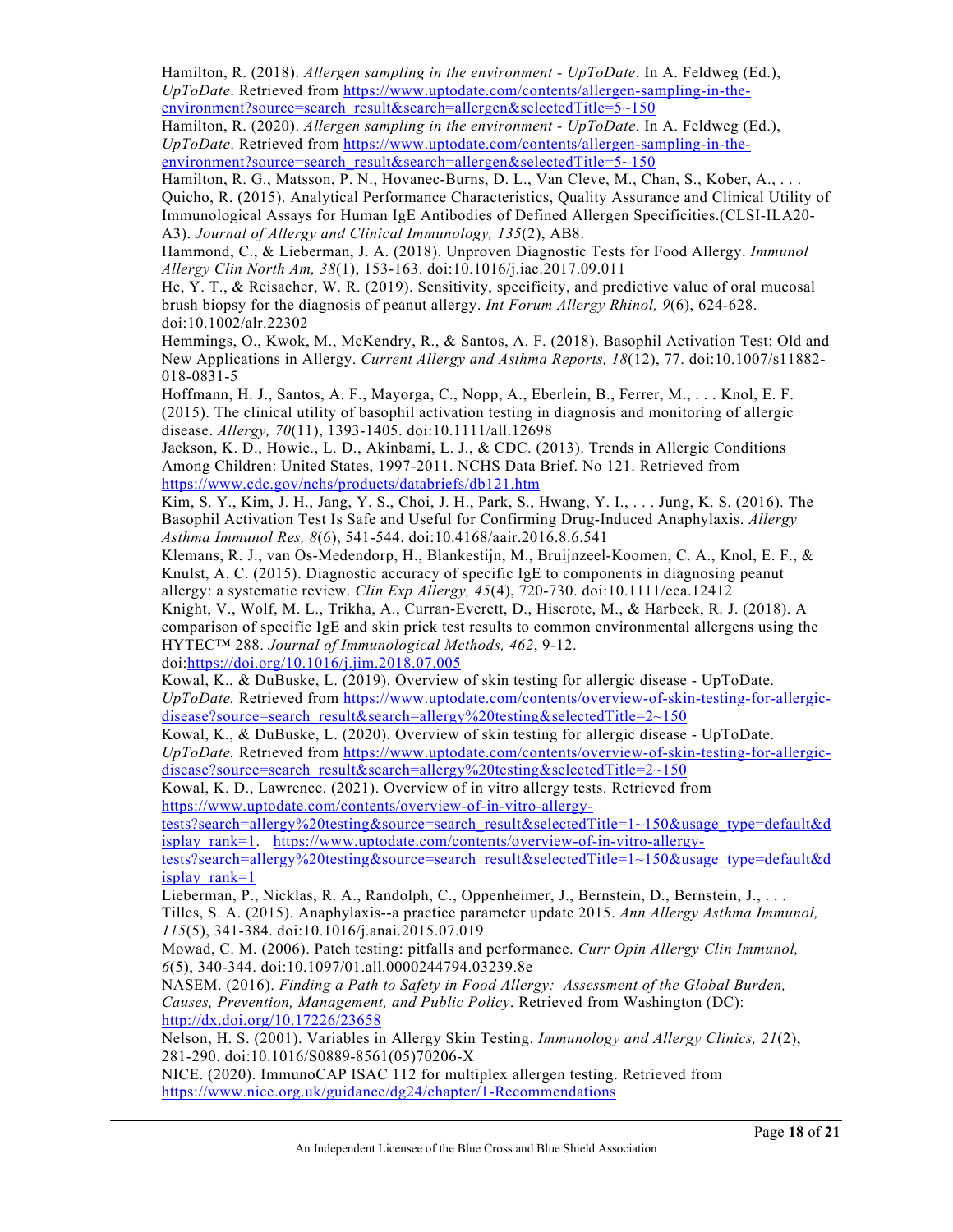Hamilton, R. (2018). *Allergen sampling in the environment - UpToDate*. In A. Feldweg (Ed.), *UpToDate*. Retrieved from [https://www.uptodate.com/contents/allergen-sampling-in-the](https://www.uptodate.com/contents/allergen-sampling-in-the-environment?source=search_result&search=allergen&selectedTitle=5%7E150)[environment?source=search\\_result&search=allergen&selectedTitle=5~150](https://www.uptodate.com/contents/allergen-sampling-in-the-environment?source=search_result&search=allergen&selectedTitle=5%7E150)

Hamilton, R. (2020). *Allergen sampling in the environment - UpToDate*. In A. Feldweg (Ed.), *UpToDate*. Retrieved from [https://www.uptodate.com/contents/allergen-sampling-in-the](https://www.uptodate.com/contents/allergen-sampling-in-the-environment?source=search_result&search=allergen&selectedTitle=5%7E150)[environment?source=search\\_result&search=allergen&selectedTitle=5~150](https://www.uptodate.com/contents/allergen-sampling-in-the-environment?source=search_result&search=allergen&selectedTitle=5%7E150)

Hamilton, R. G., Matsson, P. N., Hovanec-Burns, D. L., Van Cleve, M., Chan, S., Kober, A., ... Quicho, R. (2015). Analytical Performance Characteristics, Quality Assurance and Clinical Utility of Immunological Assays for Human IgE Antibodies of Defined Allergen Specificities.(CLSI-ILA20- A3). *Journal of Allergy and Clinical Immunology, 135*(2), AB8.

Hammond, C., & Lieberman, J. A. (2018). Unproven Diagnostic Tests for Food Allergy. *Immunol Allergy Clin North Am, 38*(1), 153-163. doi:10.1016/j.iac.2017.09.011

He, Y. T., & Reisacher, W. R. (2019). Sensitivity, specificity, and predictive value of oral mucosal brush biopsy for the diagnosis of peanut allergy. *Int Forum Allergy Rhinol, 9*(6), 624-628. doi:10.1002/alr.22302

Hemmings, O., Kwok, M., McKendry, R., & Santos, A. F. (2018). Basophil Activation Test: Old and New Applications in Allergy. *Current Allergy and Asthma Reports, 18*(12), 77. doi:10.1007/s11882- 018-0831-5

Hoffmann, H. J., Santos, A. F., Mayorga, C., Nopp, A., Eberlein, B., Ferrer, M., . . . Knol, E. F. (2015). The clinical utility of basophil activation testing in diagnosis and monitoring of allergic disease. *Allergy, 70*(11), 1393-1405. doi:10.1111/all.12698

Jackson, K. D., Howie., L. D., Akinbami, L. J., & CDC. (2013). Trends in Allergic Conditions Among Children: United States, 1997-2011. NCHS Data Brief. No 121. Retrieved from <https://www.cdc.gov/nchs/products/databriefs/db121.htm>

Kim, S. Y., Kim, J. H., Jang, Y. S., Choi, J. H., Park, S., Hwang, Y. I., . . . Jung, K. S. (2016). The Basophil Activation Test Is Safe and Useful for Confirming Drug-Induced Anaphylaxis. *Allergy Asthma Immunol Res, 8*(6), 541-544. doi:10.4168/aair.2016.8.6.541

Klemans, R. J., van Os-Medendorp, H., Blankestijn, M., Bruijnzeel-Koomen, C. A., Knol, E. F., & Knulst, A. C. (2015). Diagnostic accuracy of specific IgE to components in diagnosing peanut allergy: a systematic review. *Clin Exp Allergy, 45*(4), 720-730. doi:10.1111/cea.12412

Knight, V., Wolf, M. L., Trikha, A., Curran-Everett, D., Hiserote, M., & Harbeck, R. J. (2018). A comparison of specific IgE and skin prick test results to common environmental allergens using the HYTEC™ 288. *Journal of Immunological Methods, 462*, 9-12.

doi[:https://doi.org/10.1016/j.jim.2018.07.005](https://doi.org/10.1016/j.jim.2018.07.005)

Kowal, K., & DuBuske, L. (2019). Overview of skin testing for allergic disease - UpToDate. *UpToDate.* Retrieved from [https://www.uptodate.com/contents/overview-of-skin-testing-for-allergic](https://www.uptodate.com/contents/overview-of-skin-testing-for-allergic-disease?source=search_result&search=allergy%20testing&selectedTitle=2%7E150)[disease?source=search\\_result&search=allergy%20testing&selectedTitle=2~150](https://www.uptodate.com/contents/overview-of-skin-testing-for-allergic-disease?source=search_result&search=allergy%20testing&selectedTitle=2%7E150)

Kowal, K., & DuBuske, L. (2020). Overview of skin testing for allergic disease - UpToDate. *UpToDate.* Retrieved from [https://www.uptodate.com/contents/overview-of-skin-testing-for-allergic](https://www.uptodate.com/contents/overview-of-skin-testing-for-allergic-disease?source=search_result&search=allergy%20testing&selectedTitle=2%7E150)[disease?source=search\\_result&search=allergy%20testing&selectedTitle=2~150](https://www.uptodate.com/contents/overview-of-skin-testing-for-allergic-disease?source=search_result&search=allergy%20testing&selectedTitle=2%7E150)

Kowal, K. D., Lawrence. (2021). Overview of in vitro allergy tests. Retrieved from [https://www.uptodate.com/contents/overview-of-in-vitro-allergy-](https://www.uptodate.com/contents/overview-of-in-vitro-allergy-tests?search=allergy%20testing&source=search_result&selectedTitle=1%7E150&usage_type=default&display_rank=1)

[tests?search=allergy%20testing&source=search\\_result&selectedTitle=1~150&usage\\_type=default&d](https://www.uptodate.com/contents/overview-of-in-vitro-allergy-tests?search=allergy%20testing&source=search_result&selectedTitle=1%7E150&usage_type=default&display_rank=1) [isplay\\_rank=1.](https://www.uptodate.com/contents/overview-of-in-vitro-allergy-tests?search=allergy%20testing&source=search_result&selectedTitle=1%7E150&usage_type=default&display_rank=1) [https://www.uptodate.com/contents/overview-of-in-vitro-allergy-](https://www.uptodate.com/contents/overview-of-in-vitro-allergy-tests?search=allergy%20testing&source=search_result&selectedTitle=1%7E150&usage_type=default&display_rank=1)

[tests?search=allergy%20testing&source=search\\_result&selectedTitle=1~150&usage\\_type=default&d](https://www.uptodate.com/contents/overview-of-in-vitro-allergy-tests?search=allergy%20testing&source=search_result&selectedTitle=1%7E150&usage_type=default&display_rank=1) [isplay\\_rank=1](https://www.uptodate.com/contents/overview-of-in-vitro-allergy-tests?search=allergy%20testing&source=search_result&selectedTitle=1%7E150&usage_type=default&display_rank=1)

Lieberman, P., Nicklas, R. A., Randolph, C., Oppenheimer, J., Bernstein, D., Bernstein, J., . . . Tilles, S. A. (2015). Anaphylaxis--a practice parameter update 2015. *Ann Allergy Asthma Immunol, 115*(5), 341-384. doi:10.1016/j.anai.2015.07.019

Mowad, C. M. (2006). Patch testing: pitfalls and performance. *Curr Opin Allergy Clin Immunol, 6*(5), 340-344. doi:10.1097/01.all.0000244794.03239.8e

NASEM. (2016). *Finding a Path to Safety in Food Allergy: Assessment of the Global Burden, Causes, Prevention, Management, and Public Policy*. Retrieved from Washington (DC): <http://dx.doi.org/10.17226/23658>

Nelson, H. S. (2001). Variables in Allergy Skin Testing. *Immunology and Allergy Clinics, 21*(2), 281-290. doi:10.1016/S0889-8561(05)70206-X

NICE. (2020). ImmunoCAP ISAC 112 for multiplex allergen testing. Retrieved from <https://www.nice.org.uk/guidance/dg24/chapter/1-Recommendations>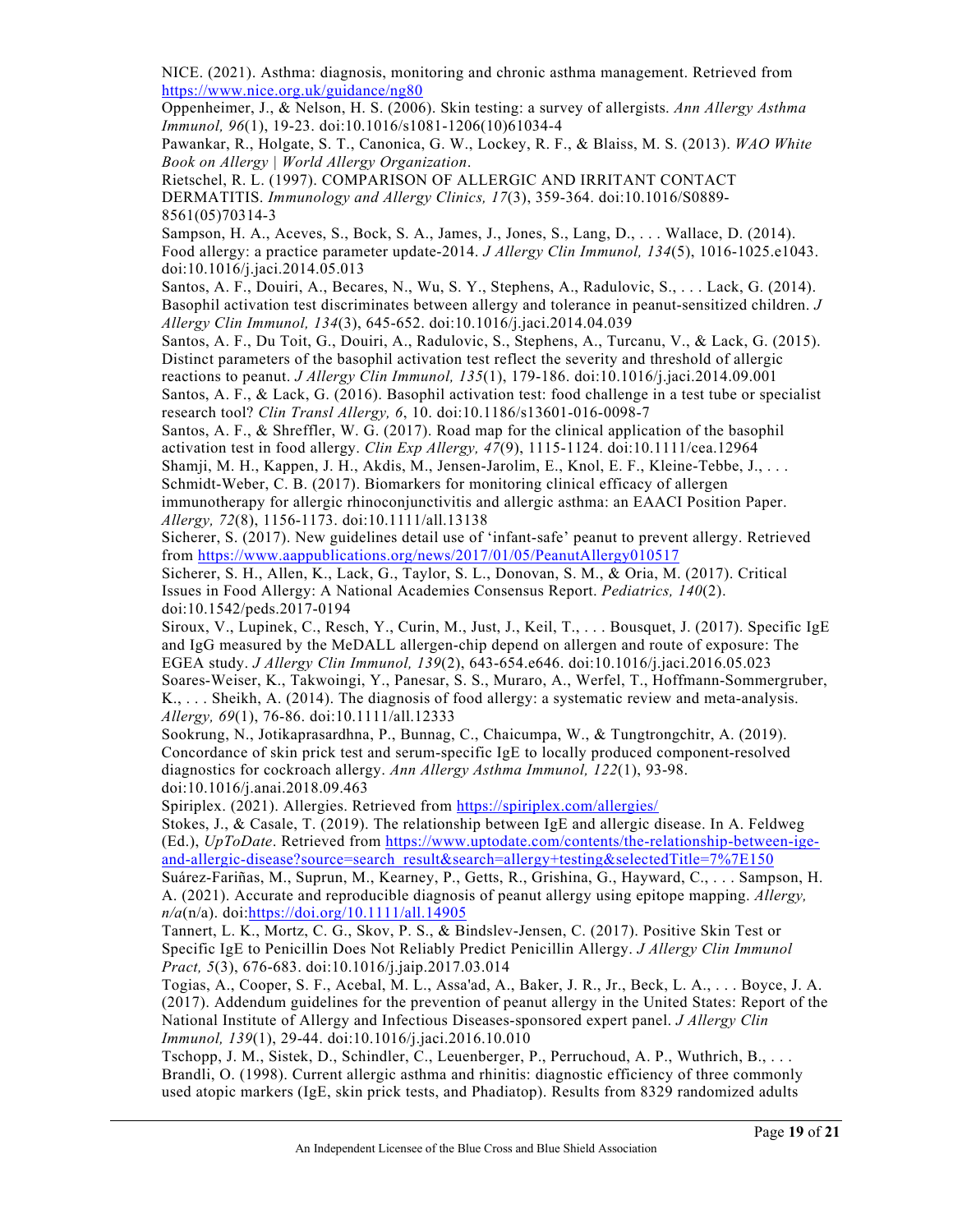NICE. (2021). Asthma: diagnosis, monitoring and chronic asthma management. Retrieved from <https://www.nice.org.uk/guidance/ng80>

Oppenheimer, J., & Nelson, H. S. (2006). Skin testing: a survey of allergists. *Ann Allergy Asthma Immunol, 96*(1), 19-23. doi:10.1016/s1081-1206(10)61034-4

Pawankar, R., Holgate, S. T., Canonica, G. W., Lockey, R. F., & Blaiss, M. S. (2013). *WAO White Book on Allergy | World Allergy Organization*.

Rietschel, R. L. (1997). COMPARISON OF ALLERGIC AND IRRITANT CONTACT DERMATITIS. *Immunology and Allergy Clinics, 17*(3), 359-364. doi:10.1016/S0889- 8561(05)70314-3

Sampson, H. A., Aceves, S., Bock, S. A., James, J., Jones, S., Lang, D., . . . Wallace, D. (2014). Food allergy: a practice parameter update-2014. *J Allergy Clin Immunol, 134*(5), 1016-1025.e1043. doi:10.1016/j.jaci.2014.05.013

Santos, A. F., Douiri, A., Becares, N., Wu, S. Y., Stephens, A., Radulovic, S., . . . Lack, G. (2014). Basophil activation test discriminates between allergy and tolerance in peanut-sensitized children. *J Allergy Clin Immunol, 134*(3), 645-652. doi:10.1016/j.jaci.2014.04.039

Santos, A. F., Du Toit, G., Douiri, A., Radulovic, S., Stephens, A., Turcanu, V., & Lack, G. (2015). Distinct parameters of the basophil activation test reflect the severity and threshold of allergic reactions to peanut. *J Allergy Clin Immunol, 135*(1), 179-186. doi:10.1016/j.jaci.2014.09.001

Santos, A. F., & Lack, G. (2016). Basophil activation test: food challenge in a test tube or specialist research tool? *Clin Transl Allergy, 6*, 10. doi:10.1186/s13601-016-0098-7

Santos, A. F., & Shreffler, W. G. (2017). Road map for the clinical application of the basophil activation test in food allergy. *Clin Exp Allergy, 47*(9), 1115-1124. doi:10.1111/cea.12964 Shamji, M. H., Kappen, J. H., Akdis, M., Jensen-Jarolim, E., Knol, E. F., Kleine-Tebbe, J., . . .

Schmidt-Weber, C. B. (2017). Biomarkers for monitoring clinical efficacy of allergen immunotherapy for allergic rhinoconjunctivitis and allergic asthma: an EAACI Position Paper. *Allergy, 72*(8), 1156-1173. doi:10.1111/all.13138

Sicherer, S. (2017). New guidelines detail use of 'infant-safe' peanut to prevent allergy. Retrieved from<https://www.aappublications.org/news/2017/01/05/PeanutAllergy010517>

Sicherer, S. H., Allen, K., Lack, G., Taylor, S. L., Donovan, S. M., & Oria, M. (2017). Critical Issues in Food Allergy: A National Academies Consensus Report. *Pediatrics, 140*(2). doi:10.1542/peds.2017-0194

Siroux, V., Lupinek, C., Resch, Y., Curin, M., Just, J., Keil, T., . . . Bousquet, J. (2017). Specific IgE and IgG measured by the MeDALL allergen-chip depend on allergen and route of exposure: The EGEA study. *J Allergy Clin Immunol, 139*(2), 643-654.e646. doi:10.1016/j.jaci.2016.05.023 Soares-Weiser, K., Takwoingi, Y., Panesar, S. S., Muraro, A., Werfel, T., Hoffmann-Sommergruber, K., . . . Sheikh, A. (2014). The diagnosis of food allergy: a systematic review and meta-analysis. *Allergy, 69*(1), 76-86. doi:10.1111/all.12333

Sookrung, N., Jotikaprasardhna, P., Bunnag, C., Chaicumpa, W., & Tungtrongchitr, A. (2019). Concordance of skin prick test and serum-specific IgE to locally produced component-resolved diagnostics for cockroach allergy. *Ann Allergy Asthma Immunol, 122*(1), 93-98. doi:10.1016/j.anai.2018.09.463

Spiriplex. (2021). Allergies. Retrieved from<https://spiriplex.com/allergies/>

Stokes, J., & Casale, T. (2019). The relationship between IgE and allergic disease. In A. Feldweg (Ed.), *UpToDate*. Retrieved from [https://www.uptodate.com/contents/the-relationship-between-ige](https://www.uptodate.com/contents/the-relationship-between-ige-and-allergic-disease?source=search_result&search=allergy+testing&selectedTitle=7%7E150)[and-allergic-disease?source=search\\_result&search=allergy+testing&selectedTitle=7%7E150](https://www.uptodate.com/contents/the-relationship-between-ige-and-allergic-disease?source=search_result&search=allergy+testing&selectedTitle=7%7E150)

Suárez-Fariñas, M., Suprun, M., Kearney, P., Getts, R., Grishina, G., Hayward, C., . . . Sampson, H. A. (2021). Accurate and reproducible diagnosis of peanut allergy using epitope mapping. *Allergy, n/a*(n/a). doi[:https://doi.org/10.1111/all.14905](https://doi.org/10.1111/all.14905)

Tannert, L. K., Mortz, C. G., Skov, P. S., & Bindslev-Jensen, C. (2017). Positive Skin Test or Specific IgE to Penicillin Does Not Reliably Predict Penicillin Allergy. *J Allergy Clin Immunol Pract, 5*(3), 676-683. doi:10.1016/j.jaip.2017.03.014

Togias, A., Cooper, S. F., Acebal, M. L., Assa'ad, A., Baker, J. R., Jr., Beck, L. A., . . . Boyce, J. A. (2017). Addendum guidelines for the prevention of peanut allergy in the United States: Report of the National Institute of Allergy and Infectious Diseases-sponsored expert panel. *J Allergy Clin Immunol, 139*(1), 29-44. doi:10.1016/j.jaci.2016.10.010

Tschopp, J. M., Sistek, D., Schindler, C., Leuenberger, P., Perruchoud, A. P., Wuthrich, B., . . . Brandli, O. (1998). Current allergic asthma and rhinitis: diagnostic efficiency of three commonly used atopic markers (IgE, skin prick tests, and Phadiatop). Results from 8329 randomized adults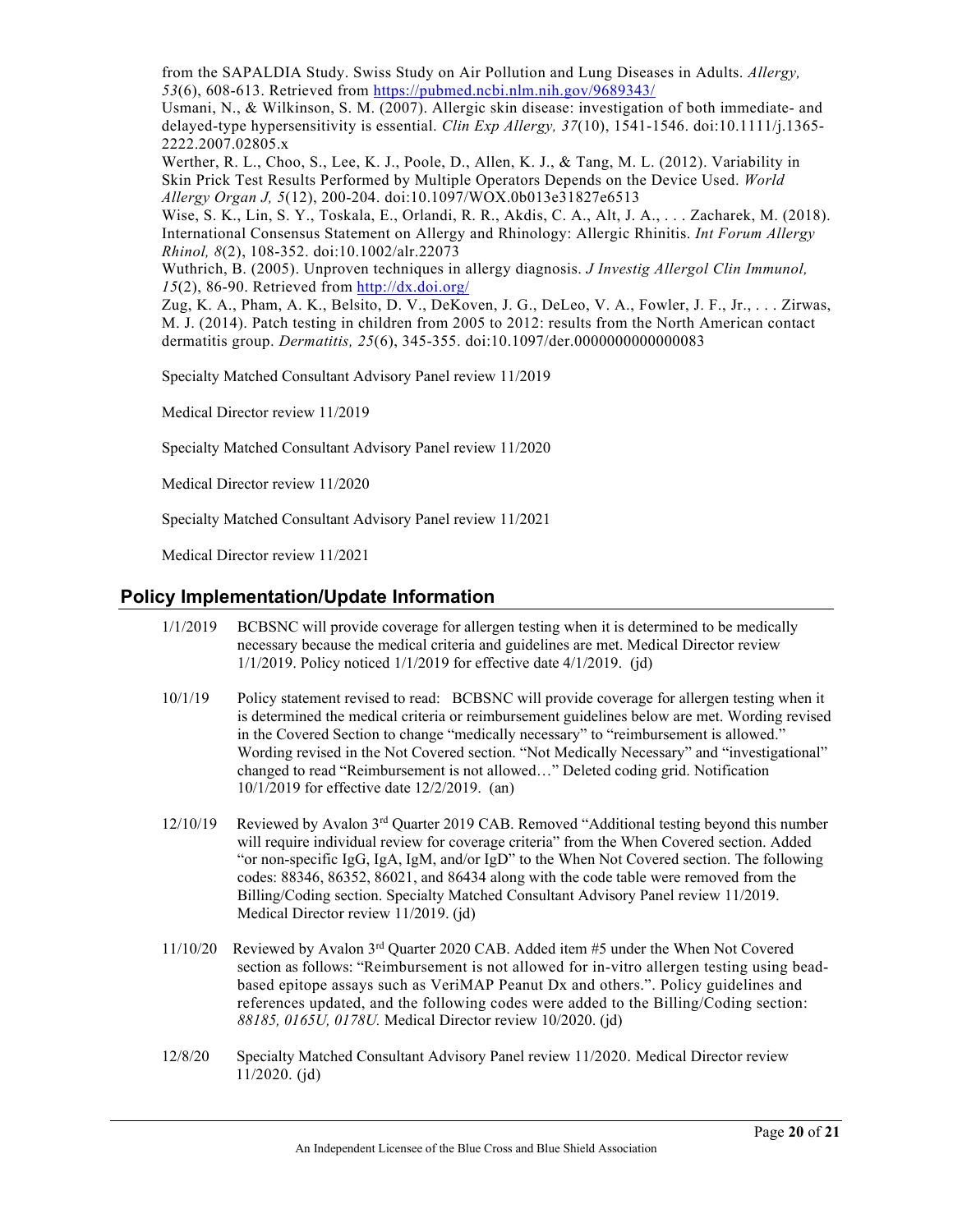from the SAPALDIA Study. Swiss Study on Air Pollution and Lung Diseases in Adults. *Allergy, 53*(6), 608-613. Retrieved from<https://pubmed.ncbi.nlm.nih.gov/9689343/>

Usmani, N., & Wilkinson, S. M. (2007). Allergic skin disease: investigation of both immediate- and delayed-type hypersensitivity is essential. *Clin Exp Allergy, 37*(10), 1541-1546. doi:10.1111/j.1365- 2222.2007.02805.x

Werther, R. L., Choo, S., Lee, K. J., Poole, D., Allen, K. J., & Tang, M. L. (2012). Variability in Skin Prick Test Results Performed by Multiple Operators Depends on the Device Used. *World Allergy Organ J, 5*(12), 200-204. doi:10.1097/WOX.0b013e31827e6513

Wise, S. K., Lin, S. Y., Toskala, E., Orlandi, R. R., Akdis, C. A., Alt, J. A., . . . Zacharek, M. (2018). International Consensus Statement on Allergy and Rhinology: Allergic Rhinitis. *Int Forum Allergy Rhinol, 8*(2), 108-352. doi:10.1002/alr.22073

Wuthrich, B. (2005). Unproven techniques in allergy diagnosis. *J Investig Allergol Clin Immunol, 15*(2), 86-90. Retrieved from<http://dx.doi.org/>

Zug, K. A., Pham, A. K., Belsito, D. V., DeKoven, J. G., DeLeo, V. A., Fowler, J. F., Jr., . . . Zirwas, M. J. (2014). Patch testing in children from 2005 to 2012: results from the North American contact dermatitis group. *Dermatitis, 25*(6), 345-355. doi:10.1097/der.0000000000000083

Specialty Matched Consultant Advisory Panel review 11/2019

Medical Director review 11/2019

Specialty Matched Consultant Advisory Panel review 11/2020

Medical Director review 11/2020

Specialty Matched Consultant Advisory Panel review 11/2021

Medical Director review 11/2021

## **Policy Implementation/Update Information**

- 1/1/2019 BCBSNC will provide coverage for allergen testing when it is determined to be medically necessary because the medical criteria and guidelines are met. Medical Director review 1/1/2019. Policy noticed 1/1/2019 for effective date 4/1/2019. (jd)
- 10/1/19 Policy statement revised to read: BCBSNC will provide coverage for allergen testing when it is determined the medical criteria or reimbursement guidelines below are met. Wording revised in the Covered Section to change "medically necessary" to "reimbursement is allowed." Wording revised in the Not Covered section. "Not Medically Necessary" and "investigational" changed to read "Reimbursement is not allowed…" Deleted coding grid. Notification 10/1/2019 for effective date 12/2/2019. (an)
- $12/10/19$  Reviewed by Avalon 3<sup>rd</sup> Quarter 2019 CAB. Removed "Additional testing beyond this number will require individual review for coverage criteria" from the When Covered section. Added "or non-specific IgG, IgA, IgM, and/or IgD" to the When Not Covered section. The following codes: 88346, 86352, 86021, and 86434 along with the code table were removed from the Billing/Coding section. Specialty Matched Consultant Advisory Panel review 11/2019. Medical Director review 11/2019. (jd)
- 11/10/20 Reviewed by Avalon 3rd Quarter 2020 CAB. Added item #5 under the When Not Covered section as follows: "Reimbursement is not allowed for in-vitro allergen testing using beadbased epitope assays such as VeriMAP Peanut Dx and others.". Policy guidelines and references updated, and the following codes were added to the Billing/Coding section: *88185, 0165U, 0178U.* Medical Director review 10/2020. (jd)
- 12/8/20 Specialty Matched Consultant Advisory Panel review 11/2020. Medical Director review 11/2020. (jd)